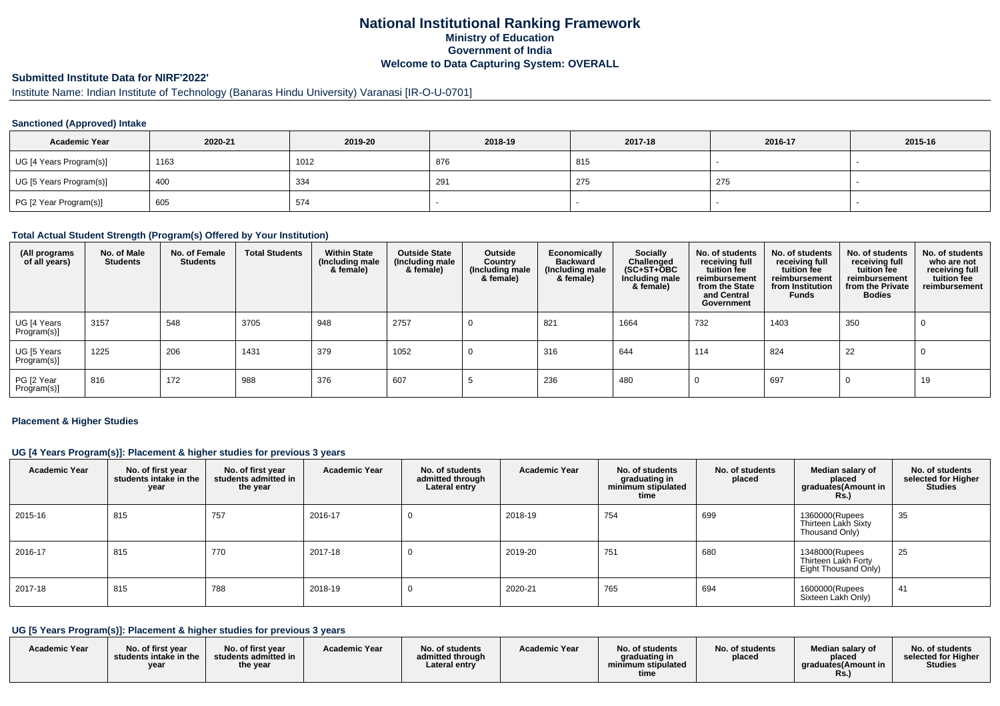# **National Institutional Ranking FrameworkMinistry of Education Government of IndiaWelcome to Data Capturing System: OVERALL**

# **Submitted Institute Data for NIRF'2022'**

# Institute Name: Indian Institute of Technology (Banaras Hindu University) Varanasi [IR-O-U-0701]

### **Sanctioned (Approved) Intake**

| <b>Academic Year</b>    | 2020-21 | 2019-20 | 2018-19 | 2017-18 | 2016-17 | 2015-16 |
|-------------------------|---------|---------|---------|---------|---------|---------|
| UG [4 Years Program(s)] | 1163    | 1012    | 876     | 815     |         |         |
| UG [5 Years Program(s)] | 400     | 334     | 291     | 275     | 275     |         |
| PG [2 Year Program(s)]  | 605     | 574     |         |         |         |         |

#### **Total Actual Student Strength (Program(s) Offered by Your Institution)**

| (All programs<br>of all years) | No. of Male<br><b>Students</b> | No. of Female<br><b>Students</b> | <b>Total Students</b> | <b>Within State</b><br>(Including male<br>& female) | <b>Outside State</b><br>(Including male<br>& female) | Outside<br>Country<br>(Including male<br>& female) | Economically<br><b>Backward</b><br>(Including male<br>& female) | <b>Socially</b><br>Challenged<br>$(SC+ST+\text{O}BC)$<br>Including male<br>& female) | No. of students<br>receiving full<br>tuition fee<br>reimbursement<br>from the State<br>and Central<br>Government | No. of students<br>receiving full<br>tuition fee<br>reimbursement<br>from Institution<br><b>Funds</b> | No. of students<br>receiving full<br>tuition fee<br>reimbursement<br>from the Private<br><b>Bodies</b> | No. of students<br>who are not<br>receiving full<br>tuition fee<br>reimbursement |
|--------------------------------|--------------------------------|----------------------------------|-----------------------|-----------------------------------------------------|------------------------------------------------------|----------------------------------------------------|-----------------------------------------------------------------|--------------------------------------------------------------------------------------|------------------------------------------------------------------------------------------------------------------|-------------------------------------------------------------------------------------------------------|--------------------------------------------------------------------------------------------------------|----------------------------------------------------------------------------------|
| UG [4 Years<br>Program(s)]     | 3157                           | 548                              | 3705                  | 948                                                 | 2757                                                 |                                                    | 821                                                             | 1664                                                                                 | 732                                                                                                              | 1403                                                                                                  | 350                                                                                                    | - U                                                                              |
| UG [5 Years<br>Program(s)]     | 1225                           | 206                              | 1431                  | 379                                                 | 1052                                                 |                                                    | 316                                                             | 644                                                                                  | 114                                                                                                              | 824                                                                                                   | 22                                                                                                     | - U                                                                              |
| PG [2 Year<br>Program(s)]      | 816                            | 172                              | 988                   | 376                                                 | 607                                                  |                                                    | 236                                                             | 480                                                                                  |                                                                                                                  | 697                                                                                                   | 0                                                                                                      | 19                                                                               |

#### **Placement & Higher Studies**

### **UG [4 Years Program(s)]: Placement & higher studies for previous 3 years**

| <b>Academic Year</b> | No. of first year<br>students intake in the<br>year | No. of first year<br>students admitted in<br>the year | <b>Academic Year</b> | No. of students<br>admitted through<br>Lateral entry | <b>Academic Year</b> | No. of students<br>graduating in<br>minimum stipulated<br>time | No. of students<br>placed | Median salary of<br>placed<br>graduates(Amount in<br><b>Rs.)</b> | No. of students<br>selected for Higher<br><b>Studies</b> |
|----------------------|-----------------------------------------------------|-------------------------------------------------------|----------------------|------------------------------------------------------|----------------------|----------------------------------------------------------------|---------------------------|------------------------------------------------------------------|----------------------------------------------------------|
| 2015-16              | 815                                                 | 757                                                   | 2016-17              |                                                      | 2018-19              | 754                                                            | 699                       | 1360000(Rupees<br>Thirteen Lakh Sixty<br>Thousand Only)          | 35                                                       |
| 2016-17              | 815                                                 | 770                                                   | 2017-18              |                                                      | 2019-20              | 751                                                            | 680                       | 1348000(Rupees<br>Thirteen Lakh Forty<br>Eight Thousand Only)    | 25                                                       |
| 2017-18              | 815                                                 | 788                                                   | 2018-19              |                                                      | 2020-21              | 765                                                            | 694                       | 1600000(Rupees<br>Sixteen Lakh Only)                             | 41                                                       |

### **UG [5 Years Program(s)]: Placement & higher studies for previous 3 years**

| <b>Academic Year</b> | No. of first year<br>students intake in the<br>year | No. of first year<br>students admitted in<br>the year | <b>Academic Year</b> | No. of students<br>admitted through<br>Lateral entry | <b>Academic Year</b> | No. of students<br>graduating in<br>minimum stipulated<br>time | No. of students<br>placed | Median salarv of<br>placed<br>araduates(Amount in<br>ĸs. | No. of students<br>selected for Higher<br><b>Studies</b> |
|----------------------|-----------------------------------------------------|-------------------------------------------------------|----------------------|------------------------------------------------------|----------------------|----------------------------------------------------------------|---------------------------|----------------------------------------------------------|----------------------------------------------------------|
|----------------------|-----------------------------------------------------|-------------------------------------------------------|----------------------|------------------------------------------------------|----------------------|----------------------------------------------------------------|---------------------------|----------------------------------------------------------|----------------------------------------------------------|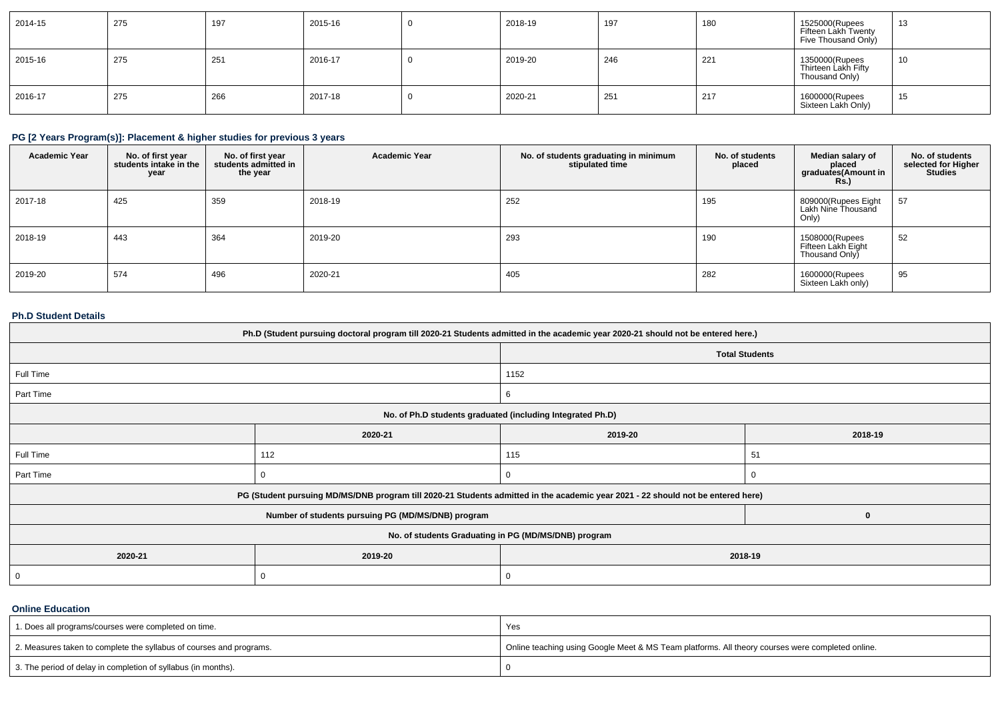| 2014-15 | 275 | 197 | 2015-16 | 2018-19 | 197 | 180 | 1525000(Rupees<br>Fifteen Lakh Twenty<br>Five Thousand Only) | 12<br>15 |
|---------|-----|-----|---------|---------|-----|-----|--------------------------------------------------------------|----------|
| 2015-16 | 275 | 251 | 2016-17 | 2019-20 | 246 | 221 | 1350000(Rupees<br>Thirteen Lakh Fifty<br>Thousand Only)      | 10       |
| 2016-17 | 275 | 266 | 2017-18 | 2020-21 | 251 | 217 | 1600000(Rupees<br>Sixteen Lakh Only)                         | 15       |

### **PG [2 Years Program(s)]: Placement & higher studies for previous 3 years**

| <b>Academic Year</b> | No. of first year<br>students intake in the<br>year | No. of first year<br>students admitted in<br>the year | <b>Academic Year</b> | No. of students graduating in minimum<br>stipulated time | No. of students<br>placed | Median salary of<br>placed<br>graduates(Amount in<br><b>Rs.)</b> | No. of students<br>selected for Higher<br><b>Studies</b> |
|----------------------|-----------------------------------------------------|-------------------------------------------------------|----------------------|----------------------------------------------------------|---------------------------|------------------------------------------------------------------|----------------------------------------------------------|
| 2017-18              | 425                                                 | 359                                                   | 2018-19              | 252                                                      | 195                       | 809000(Rupees Eight<br>Lakh Nine Thousand<br>Only)               | 57                                                       |
| 2018-19              | 443                                                 | 364                                                   | 2019-20              | 293                                                      | 190                       | 1508000(Rupees<br>Fifteen Lakh Eight<br>Thousand Only            | 52                                                       |
| 2019-20              | 574                                                 | 496                                                   | 2020-21              | 405                                                      | 282                       | 1600000(Rupees<br>Sixteen Lakh only)                             | 95                                                       |

### **Ph.D Student Details**

| Ph.D (Student pursuing doctoral program till 2020-21 Students admitted in the academic year 2020-21 should not be entered here.) |                                                                                                                                  |                       |          |  |  |
|----------------------------------------------------------------------------------------------------------------------------------|----------------------------------------------------------------------------------------------------------------------------------|-----------------------|----------|--|--|
|                                                                                                                                  |                                                                                                                                  | <b>Total Students</b> |          |  |  |
| Full Time                                                                                                                        |                                                                                                                                  | 1152                  |          |  |  |
| Part Time                                                                                                                        |                                                                                                                                  | 6                     |          |  |  |
|                                                                                                                                  | No. of Ph.D students graduated (including Integrated Ph.D)                                                                       |                       |          |  |  |
|                                                                                                                                  | 2020-21                                                                                                                          | 2019-20               | 2018-19  |  |  |
| Full Time                                                                                                                        | 112                                                                                                                              | 115                   | 51       |  |  |
| Part Time                                                                                                                        |                                                                                                                                  |                       |          |  |  |
|                                                                                                                                  | PG (Student pursuing MD/MS/DNB program till 2020-21 Students admitted in the academic year 2021 - 22 should not be entered here) |                       |          |  |  |
|                                                                                                                                  | Number of students pursuing PG (MD/MS/DNB) program                                                                               |                       | $\Omega$ |  |  |
|                                                                                                                                  | No. of students Graduating in PG (MD/MS/DNB) program                                                                             |                       |          |  |  |
| 2020-21                                                                                                                          | 2019-20                                                                                                                          | 2018-19               |          |  |  |
| 0                                                                                                                                |                                                                                                                                  | 0                     |          |  |  |

### **Online Education**

| 1. Does all programs/courses were completed on time.                | Yes                                                                                              |
|---------------------------------------------------------------------|--------------------------------------------------------------------------------------------------|
| 2. Measures taken to complete the syllabus of courses and programs. | Online teaching using Google Meet & MS Team platforms. All theory courses were completed online. |
| 3. The period of delay in completion of syllabus (in months).       |                                                                                                  |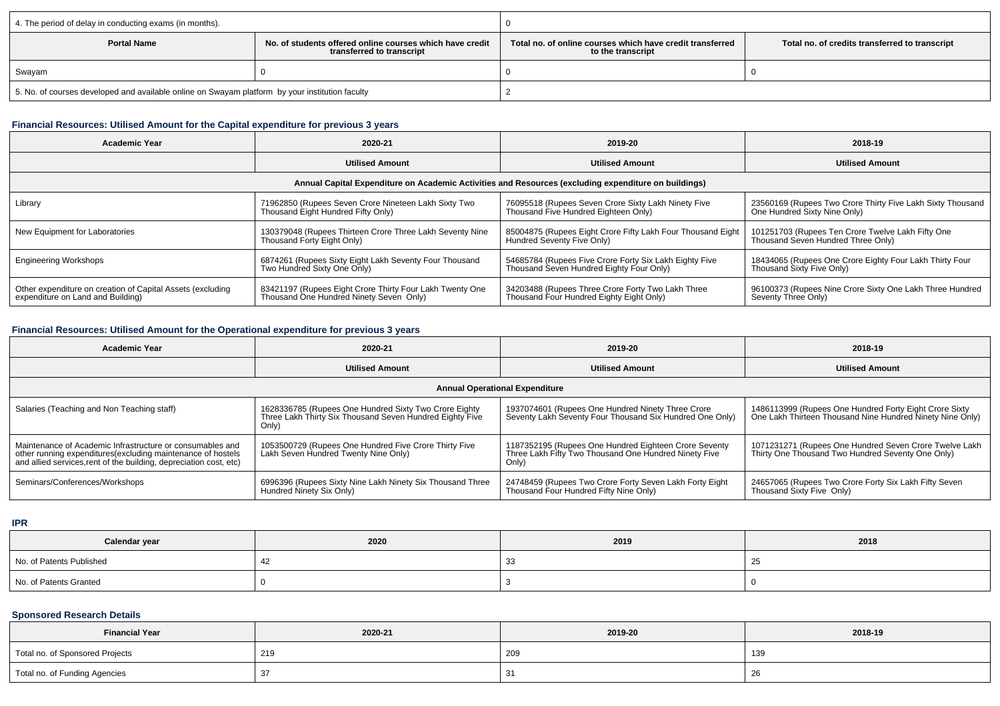| 4. The period of delay in conducting exams (in months).                                                     |  |                                                                                |                                                |  |  |
|-------------------------------------------------------------------------------------------------------------|--|--------------------------------------------------------------------------------|------------------------------------------------|--|--|
| <b>Portal Name</b><br>No, of students offered online courses which have credit<br>transferred to transcript |  | Total no, of online courses which have credit transferred<br>to the transcript | Total no. of credits transferred to transcript |  |  |
| Swayam                                                                                                      |  |                                                                                |                                                |  |  |
| 5. No. of courses developed and available online on Swayam platform by your institution faculty             |  |                                                                                |                                                |  |  |

# **Financial Resources: Utilised Amount for the Capital expenditure for previous 3 years**

| <b>Academic Year</b>                                       | 2020-21                                                  | 2019-20                                                                                              | 2018-19                                                    |  |
|------------------------------------------------------------|----------------------------------------------------------|------------------------------------------------------------------------------------------------------|------------------------------------------------------------|--|
|                                                            | <b>Utilised Amount</b>                                   | <b>Utilised Amount</b>                                                                               | <b>Utilised Amount</b>                                     |  |
|                                                            |                                                          | Annual Capital Expenditure on Academic Activities and Resources (excluding expenditure on buildings) |                                                            |  |
| Library                                                    | 71962850 (Rupees Seven Crore Nineteen Lakh Sixty Two     | 76095518 (Rupees Seven Crore Sixty Lakh Ninety Five                                                  | 23560169 (Rupees Two Crore Thirty Five Lakh Sixty Thousand |  |
|                                                            | Thousand Eight Hundred Fifty Only)                       | Thousand Five Hundred Eighteen Only)                                                                 | One Hundred Sixty Nine Only)                               |  |
| New Equipment for Laboratories                             | 130379048 (Rupees Thirteen Crore Three Lakh Seventy Nine | 85004875 (Rupees Eight Crore Fifty Lakh Four Thousand Eight                                          | 101251703 (Rupees Ten Crore Twelve Lakh Fifty One          |  |
|                                                            | Thousand Forty Eight Only)                               | Hundred Seventy Five Only)                                                                           | Thousand Seven Hundred Three Only)                         |  |
| <b>Engineering Workshops</b>                               | 6874261 (Rupees Sixty Eight Lakh Seventy Four Thousand   | 54685784 (Rupees Five Crore Forty Six Lakh Eighty Five                                               | 18434065 (Rupees One Crore Eighty Four Lakh Thirty Four    |  |
|                                                            | Two Hundred Sixty One Only)                              | Thousand Seven Hundred Eighty Four Only)                                                             | Thousand Sixty Five Only)                                  |  |
| Other expenditure on creation of Capital Assets (excluding | 83421197 (Rupees Eight Crore Thirty Four Lakh Twenty One | 34203488 (Rupees Three Crore Forty Two Lakh Three                                                    | 96100373 (Rupees Nine Crore Sixty One Lakh Three Hundred   |  |
| expenditure on Land and Building)                          | Thousand One Hundred Ninety Seven Only)                  | Thousand Four Hundred Eighty Eight Only)                                                             | Seventy Three Only)                                        |  |

# **Financial Resources: Utilised Amount for the Operational expenditure for previous 3 years**

| Academic Year                                                                                                                                                                                   | 2020-21                                                                                                                    | 2019-20                                                                                                                 | 2018-19                                                                                                             |  |  |  |  |  |
|-------------------------------------------------------------------------------------------------------------------------------------------------------------------------------------------------|----------------------------------------------------------------------------------------------------------------------------|-------------------------------------------------------------------------------------------------------------------------|---------------------------------------------------------------------------------------------------------------------|--|--|--|--|--|
|                                                                                                                                                                                                 | <b>Utilised Amount</b>                                                                                                     | <b>Utilised Amount</b>                                                                                                  | <b>Utilised Amount</b>                                                                                              |  |  |  |  |  |
|                                                                                                                                                                                                 | <b>Annual Operational Expenditure</b>                                                                                      |                                                                                                                         |                                                                                                                     |  |  |  |  |  |
| Salaries (Teaching and Non Teaching staff)                                                                                                                                                      | 1628336785 (Rupees One Hundred Sixty Two Crore Eighty<br>Three Lakh Thirty Six Thousand Seven Hundred Eighty Five<br>Only) | 1937074601 (Rupees One Hundred Ninety Three Crore<br>Seventy Lakh Seventy Four Thousand Six Hundred One Only)           | 1486113999 (Rupees One Hundred Forty Eight Crore Sixty<br>One Lakh Thirteen Thousand Nine Hundred Ninety Nine Only) |  |  |  |  |  |
| Maintenance of Academic Infrastructure or consumables and<br>other running expenditures (excluding maintenance of hostels<br>and allied services, rent of the building, depreciation cost, etc) | 1053500729 (Rupees One Hundred Five Crore Thirty Five<br>Lakh Seven Hundred Twenty Nine Only)                              | 1187352195 (Rupees One Hundred Eighteen Crore Seventy<br>Three Lakh Fifty Two Thousand One Hundred Ninety Five<br>Only) | 1071231271 (Rupees One Hundred Seven Crore Twelve Lakh<br>Thirty One Thousand Two Hundred Seventy One Only)         |  |  |  |  |  |
| Seminars/Conferences/Workshops                                                                                                                                                                  | 6996396 (Rupees Sixty Nine Lakh Ninety Six Thousand Three<br>Hundred Ninety Six Only)                                      | 24748459 (Rupees Two Crore Forty Seven Lakh Forty Eight<br>Thousand Four Hundred Fifty Nine Only)                       | 24657065 (Rupees Two Crore Forty Six Lakh Fifty Seven<br>Thousand Sixty Five Only)                                  |  |  |  |  |  |

**IPR**

| Calendar year            | 2020 | 2019 | 2018 |
|--------------------------|------|------|------|
| No. of Patents Published |      | ັບ   | ے    |
| No. of Patents Granted   |      |      |      |

### **Sponsored Research Details**

| <b>Financial Year</b>           | 2020-21 | 2019-20 | 2018-19 |
|---------------------------------|---------|---------|---------|
| Total no. of Sponsored Projects | 219     | 209     | 139     |
| Total no. of Funding Agencies   |         | ັ       | ZC      |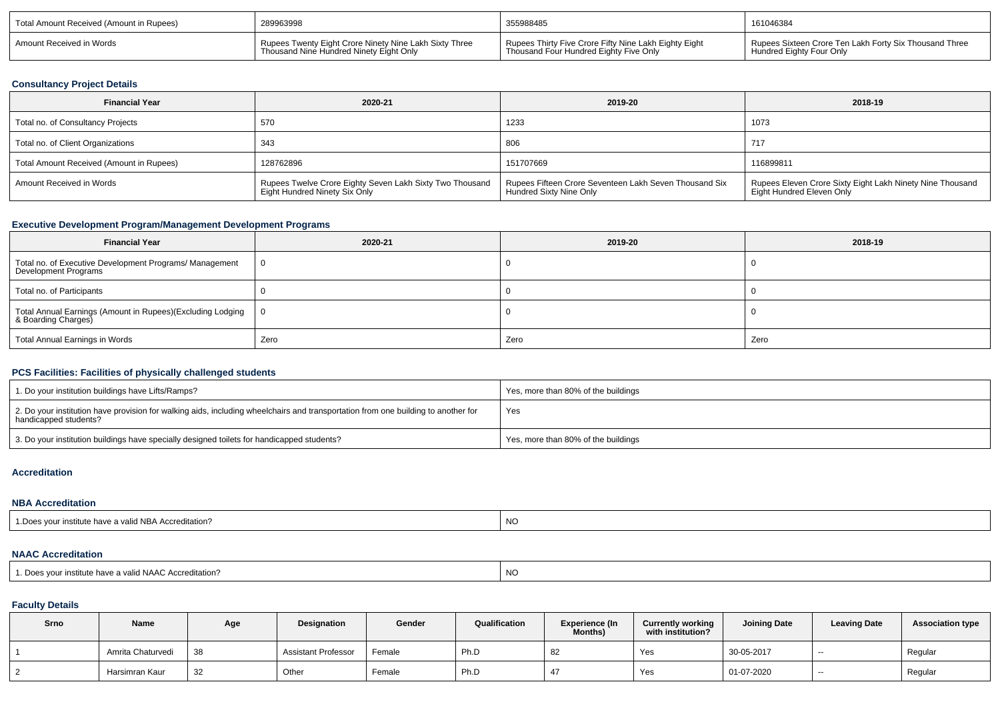| Total Amount Received (Amount in Rupees) | 289963998<br>Rupees Twenty Eight Crore Ninety Nine Lakh Sixty Three<br>Thousand Nine Hundred Ninety Eight Only | 355988485                                                                                       | 161046384                                                                          |
|------------------------------------------|----------------------------------------------------------------------------------------------------------------|-------------------------------------------------------------------------------------------------|------------------------------------------------------------------------------------|
| Amount Received in Words                 |                                                                                                                | Rupees Thirty Five Crore Fifty Nine Lakh Eighty Eight<br>Thousand Four Hundred Eighty Five Only | Rupees Sixteen Crore Ten Lakh Forty Six Thousand Three<br>Hundred Eighty Four Only |

### **Consultancy Project Details**

| <b>Financial Year</b>                    | 2020-21                                                                                   | 2019-20                                                                           | 2018-19                                                                                |
|------------------------------------------|-------------------------------------------------------------------------------------------|-----------------------------------------------------------------------------------|----------------------------------------------------------------------------------------|
| Total no. of Consultancy Projects        | 570                                                                                       | 1233                                                                              | 1073                                                                                   |
| Total no. of Client Organizations        | 343                                                                                       | 806                                                                               | 717                                                                                    |
| Total Amount Received (Amount in Rupees) | 128762896                                                                                 | 151707669                                                                         | 116899811                                                                              |
| Amount Received in Words                 | Rupees Twelve Crore Eighty Seven Lakh Sixty Two Thousand<br>Eight Hundred Ninety Six Only | Rupees Fifteen Crore Seventeen Lakh Seven Thousand Six<br>Hundred Sixty Nine Only | Rupees Eleven Crore Sixty Eight Lakh Ninety Nine Thousand<br>Eight Hundred Eleven Only |

# **Executive Development Program/Management Development Programs**

| <b>Financial Year</b>                                                             | 2020-21 | 2019-20 | 2018-19 |
|-----------------------------------------------------------------------------------|---------|---------|---------|
| Total no. of Executive Development Programs/ Management<br>Development Programs   |         |         |         |
| Total no. of Participants                                                         |         |         |         |
| Total Annual Earnings (Amount in Rupees)(Excluding Lodging<br>& Boarding Charges) | - 0     |         |         |
| Total Annual Earnings in Words                                                    | Zero    | Zero    | Zero    |

### **PCS Facilities: Facilities of physically challenged students**

| 1. Do your institution buildings have Lifts/Ramps?                                                                                                         | Yes, more than 80% of the buildings |
|------------------------------------------------------------------------------------------------------------------------------------------------------------|-------------------------------------|
| 2. Do your institution have provision for walking aids, including wheelchairs and transportation from one building to another for<br>handicapped students? | Yes                                 |
| 3. Do your institution buildings have specially designed toilets for handicapped students?                                                                 | Yes, more than 80% of the buildings |

#### **Accreditation**

#### **NBA Accreditation**

|--|

### **NAAC Accreditation**

| 1. Does your institute have a valid NAAC Accreditation? | NC |
|---------------------------------------------------------|----|
|                                                         |    |

### **Faculty Details**

| Srno | <b>Name</b>       | Age | Designation                | Gender | Qualification | <b>Experience (In</b><br><b>Months)</b> | <b>Currently working</b><br>with institution? | <b>Joining Date</b> | <b>Leaving Date</b> | <b>Association type</b> |
|------|-------------------|-----|----------------------------|--------|---------------|-----------------------------------------|-----------------------------------------------|---------------------|---------------------|-------------------------|
|      | Amrita Chaturvedi | 38  | <b>Assistant Professor</b> | Female | Ph.D          | 82                                      | Yes                                           | 30-05-2017          | --                  | Regular                 |
|      | Harsimran Kaur    | 32  | Other                      | Female | Ph.D          |                                         | Yes                                           | 01-07-2020          | --                  | Regular                 |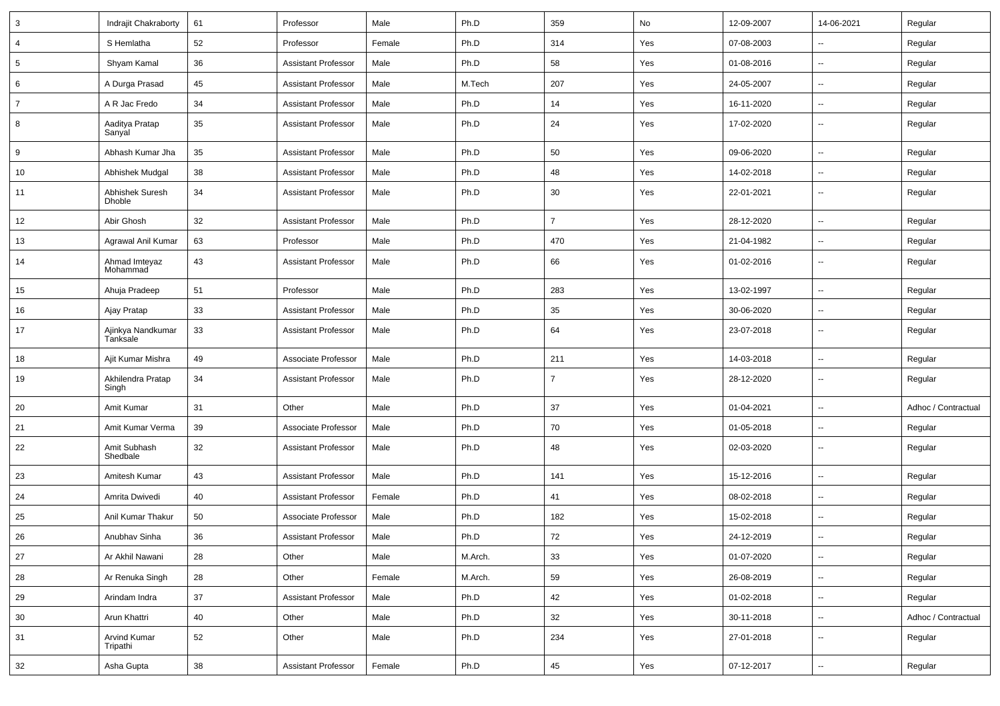| 3               | Indrajit Chakraborty                    | 61     | Professor                  | Male   | Ph.D    | 359            | No  | 12-09-2007 | 14-06-2021               | Regular             |
|-----------------|-----------------------------------------|--------|----------------------------|--------|---------|----------------|-----|------------|--------------------------|---------------------|
| $\overline{4}$  | S Hemlatha                              | 52     | Professor                  | Female | Ph.D    | 314            | Yes | 07-08-2003 | --                       | Regular             |
| $5\phantom{.0}$ | Shyam Kamal                             | 36     | <b>Assistant Professor</b> | Male   | Ph.D    | 58             | Yes | 01-08-2016 | -−                       | Regular             |
| 6               | A Durga Prasad                          | 45     | <b>Assistant Professor</b> | Male   | M.Tech  | 207            | Yes | 24-05-2007 | $\overline{a}$           | Regular             |
| $\overline{7}$  | A R Jac Fredo                           | 34     | <b>Assistant Professor</b> | Male   | Ph.D    | 14             | Yes | 16-11-2020 | --                       | Regular             |
| 8               | Aaditya Pratap<br>Sanyal                | 35     | <b>Assistant Professor</b> | Male   | Ph.D    | 24             | Yes | 17-02-2020 | $\sim$                   | Regular             |
| 9               | Abhash Kumar Jha                        | 35     | <b>Assistant Professor</b> | Male   | Ph.D    | 50             | Yes | 09-06-2020 | $\overline{\phantom{a}}$ | Regular             |
| 10              | Abhishek Mudgal                         | 38     | <b>Assistant Professor</b> | Male   | Ph.D    | 48             | Yes | 14-02-2018 | $\overline{\phantom{a}}$ | Regular             |
| 11              | <b>Abhishek Suresh</b><br><b>Dhoble</b> | 34     | <b>Assistant Professor</b> | Male   | Ph.D    | 30             | Yes | 22-01-2021 | $\overline{\phantom{a}}$ | Regular             |
| 12              | Abir Ghosh                              | 32     | <b>Assistant Professor</b> | Male   | Ph.D    | $\overline{7}$ | Yes | 28-12-2020 | -−                       | Regular             |
| 13              | Agrawal Anil Kumar                      | 63     | Professor                  | Male   | Ph.D    | 470            | Yes | 21-04-1982 | -−                       | Regular             |
| 14              | Ahmad Imteyaz<br>Mohammad               | 43     | <b>Assistant Professor</b> | Male   | Ph.D    | 66             | Yes | 01-02-2016 | --                       | Regular             |
| 15              | Ahuja Pradeep                           | 51     | Professor                  | Male   | Ph.D    | 283            | Yes | 13-02-1997 | $\overline{\phantom{a}}$ | Regular             |
| 16              | Ajay Pratap                             | 33     | <b>Assistant Professor</b> | Male   | Ph.D    | 35             | Yes | 30-06-2020 | --                       | Regular             |
| 17              | Ajinkya Nandkumar<br>Tanksale           | 33     | <b>Assistant Professor</b> | Male   | Ph.D    | 64             | Yes | 23-07-2018 | $\overline{\phantom{a}}$ | Regular             |
| 18              | Ajit Kumar Mishra                       | 49     | Associate Professor        | Male   | Ph.D    | 211            | Yes | 14-03-2018 | Ξ.                       | Regular             |
| 19              | Akhilendra Pratap<br>Singh              | 34     | <b>Assistant Professor</b> | Male   | Ph.D    | $\overline{7}$ | Yes | 28-12-2020 | ⊶.                       | Regular             |
| 20              | Amit Kumar                              | 31     | Other                      | Male   | Ph.D    | 37             | Yes | 01-04-2021 | $\overline{\phantom{a}}$ | Adhoc / Contractual |
| 21              | Amit Kumar Verma                        | 39     | Associate Professor        | Male   | Ph.D    | 70             | Yes | 01-05-2018 | --                       | Regular             |
| 22              | Amit Subhash<br>Shedbale                | 32     | <b>Assistant Professor</b> | Male   | Ph.D    | 48             | Yes | 02-03-2020 | $\overline{\phantom{a}}$ | Regular             |
| 23              | Amitesh Kumar                           | 43     | <b>Assistant Professor</b> | Male   | Ph.D    | 141            | Yes | 15-12-2016 | $\overline{\phantom{a}}$ | Regular             |
| 24              | Amrita Dwivedi                          | 40     | <b>Assistant Professor</b> | Female | Ph.D    | 41             | Yes | 08-02-2018 | $\overline{a}$           | Regular             |
| 25              | Anil Kumar Thakur                       | 50     | Associate Professor        | Male   | Ph.D    | 182            | Yes | 15-02-2018 | --                       | Regular             |
| 26              | Anubhav Sinha                           | 36     | <b>Assistant Professor</b> | Male   | Ph.D    | 72             | Yes | 24-12-2019 | $\overline{\phantom{a}}$ | Regular             |
| 27              | Ar Akhil Nawani                         | 28     | Other                      | Male   | M.Arch. | 33             | Yes | 01-07-2020 | $\sim$                   | Regular             |
| 28              | Ar Renuka Singh                         | 28     | Other                      | Female | M.Arch. | 59             | Yes | 26-08-2019 | $\overline{\phantom{a}}$ | Regular             |
| 29              | Arindam Indra                           | 37     | <b>Assistant Professor</b> | Male   | Ph.D    | 42             | Yes | 01-02-2018 | Щ,                       | Regular             |
| 30              | Arun Khattri                            | 40     | Other                      | Male   | Ph.D    | 32             | Yes | 30-11-2018 | $\overline{\phantom{a}}$ | Adhoc / Contractual |
| 31              | Arvind Kumar<br>Tripathi                | 52     | Other                      | Male   | Ph.D    | 234            | Yes | 27-01-2018 | --                       | Regular             |
| 32              | Asha Gupta                              | $38\,$ | <b>Assistant Professor</b> | Female | Ph.D    | 45             | Yes | 07-12-2017 | Щ,                       | Regular             |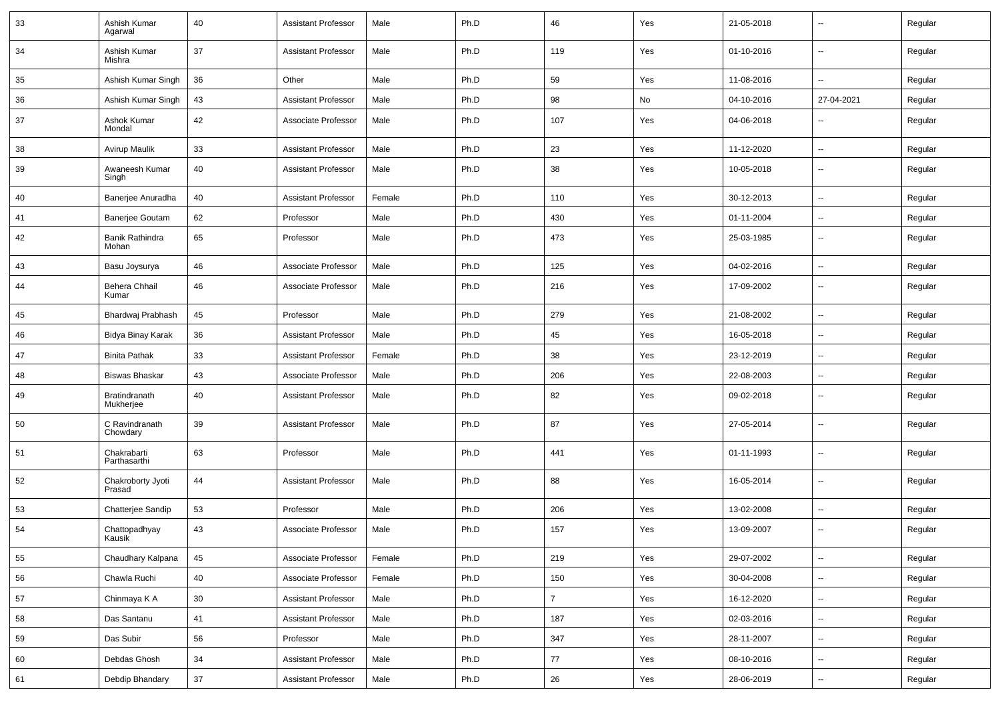| 33 | Ashish Kumar<br>Agarwal           | 40              | Assistant Professor        | Male   | Ph.D | 46             | Yes | 21-05-2018 | $\overline{\phantom{a}}$ | Regular |
|----|-----------------------------------|-----------------|----------------------------|--------|------|----------------|-----|------------|--------------------------|---------|
| 34 | Ashish Kumar<br>Mishra            | 37              | <b>Assistant Professor</b> | Male   | Ph.D | 119            | Yes | 01-10-2016 | $\overline{\phantom{a}}$ | Regular |
| 35 | Ashish Kumar Singh                | 36              | Other                      | Male   | Ph.D | 59             | Yes | 11-08-2016 | $\overline{\phantom{a}}$ | Regular |
| 36 | Ashish Kumar Singh                | 43              | <b>Assistant Professor</b> | Male   | Ph.D | 98             | No  | 04-10-2016 | 27-04-2021               | Regular |
| 37 | Ashok Kumar<br>Mondal             | 42              | Associate Professor        | Male   | Ph.D | 107            | Yes | 04-06-2018 | $\overline{a}$           | Regular |
| 38 | Avirup Maulik                     | 33              | <b>Assistant Professor</b> | Male   | Ph.D | 23             | Yes | 11-12-2020 | $\overline{\phantom{a}}$ | Regular |
| 39 | Awaneesh Kumar<br>Singh           | 40              | <b>Assistant Professor</b> | Male   | Ph.D | 38             | Yes | 10-05-2018 | $\overline{\phantom{a}}$ | Regular |
| 40 | Banerjee Anuradha                 | 40              | <b>Assistant Professor</b> | Female | Ph.D | 110            | Yes | 30-12-2013 | $\overline{a}$           | Regular |
| 41 | <b>Banerjee Goutam</b>            | 62              | Professor                  | Male   | Ph.D | 430            | Yes | 01-11-2004 | $\overline{\phantom{a}}$ | Regular |
| 42 | Banik Rathindra<br>Mohan          | 65              | Professor                  | Male   | Ph.D | 473            | Yes | 25-03-1985 | $\overline{\phantom{a}}$ | Regular |
| 43 | Basu Joysurya                     | 46              | Associate Professor        | Male   | Ph.D | 125            | Yes | 04-02-2016 | $\sim$                   | Regular |
| 44 | Behera Chhail<br>Kumar            | 46              | Associate Professor        | Male   | Ph.D | 216            | Yes | 17-09-2002 | $\sim$                   | Regular |
| 45 | Bhardwaj Prabhash                 | 45              | Professor                  | Male   | Ph.D | 279            | Yes | 21-08-2002 | $\overline{\phantom{a}}$ | Regular |
| 46 | Bidya Binay Karak                 | 36              | Assistant Professor        | Male   | Ph.D | 45             | Yes | 16-05-2018 | $\overline{\phantom{a}}$ | Regular |
| 47 | <b>Binita Pathak</b>              | 33              | Assistant Professor        | Female | Ph.D | 38             | Yes | 23-12-2019 | $\overline{\phantom{a}}$ | Regular |
| 48 | <b>Biswas Bhaskar</b>             | 43              | Associate Professor        | Male   | Ph.D | 206            | Yes | 22-08-2003 | $\sim$                   | Regular |
| 49 | <b>Bratindranath</b><br>Mukherjee | 40              | <b>Assistant Professor</b> | Male   | Ph.D | 82             | Yes | 09-02-2018 | $\overline{\phantom{a}}$ | Regular |
| 50 | C Ravindranath<br>Chowdary        | 39              | <b>Assistant Professor</b> | Male   | Ph.D | 87             | Yes | 27-05-2014 | $\overline{\phantom{a}}$ | Regular |
| 51 | Chakrabarti<br>Parthasarthi       | 63              | Professor                  | Male   | Ph.D | 441            | Yes | 01-11-1993 | $\overline{\phantom{a}}$ | Regular |
| 52 | Chakroborty Jyoti<br>Prasad       | 44              | <b>Assistant Professor</b> | Male   | Ph.D | 88             | Yes | 16-05-2014 | $\overline{\phantom{a}}$ | Regular |
| 53 | Chatterjee Sandip                 | 53              | Professor                  | Male   | Ph.D | 206            | Yes | 13-02-2008 | $\overline{\phantom{a}}$ | Regular |
| 54 | Chattopadhyay<br>Kausik           | 43              | Associate Professor        | Male   | Ph.D | 157            | Yes | 13-09-2007 | $\overline{\phantom{a}}$ | Regular |
| 55 | Chaudhary Kalpana                 | 45              | Associate Professor        | Female | Ph.D | 219            | Yes | 29-07-2002 | $\overline{\phantom{a}}$ | Regular |
| 56 | Chawla Ruchi                      | 40              | Associate Professor        | Female | Ph.D | 150            | Yes | 30-04-2008 | $\sim$                   | Regular |
| 57 | Chinmaya K A                      | 30 <sup>°</sup> | Assistant Professor        | Male   | Ph.D | $\overline{7}$ | Yes | 16-12-2020 | $\sim$                   | Regular |
| 58 | Das Santanu                       | 41              | Assistant Professor        | Male   | Ph.D | 187            | Yes | 02-03-2016 | $\sim$                   | Regular |
| 59 | Das Subir                         | 56              | Professor                  | Male   | Ph.D | 347            | Yes | 28-11-2007 | $\sim$                   | Regular |
| 60 | Debdas Ghosh                      | 34              | Assistant Professor        | Male   | Ph.D | 77             | Yes | 08-10-2016 | $\overline{\phantom{a}}$ | Regular |
| 61 | Debdip Bhandary                   | $37\,$          | Assistant Professor        | Male   | Ph.D | 26             | Yes | 28-06-2019 | $\overline{\phantom{a}}$ | Regular |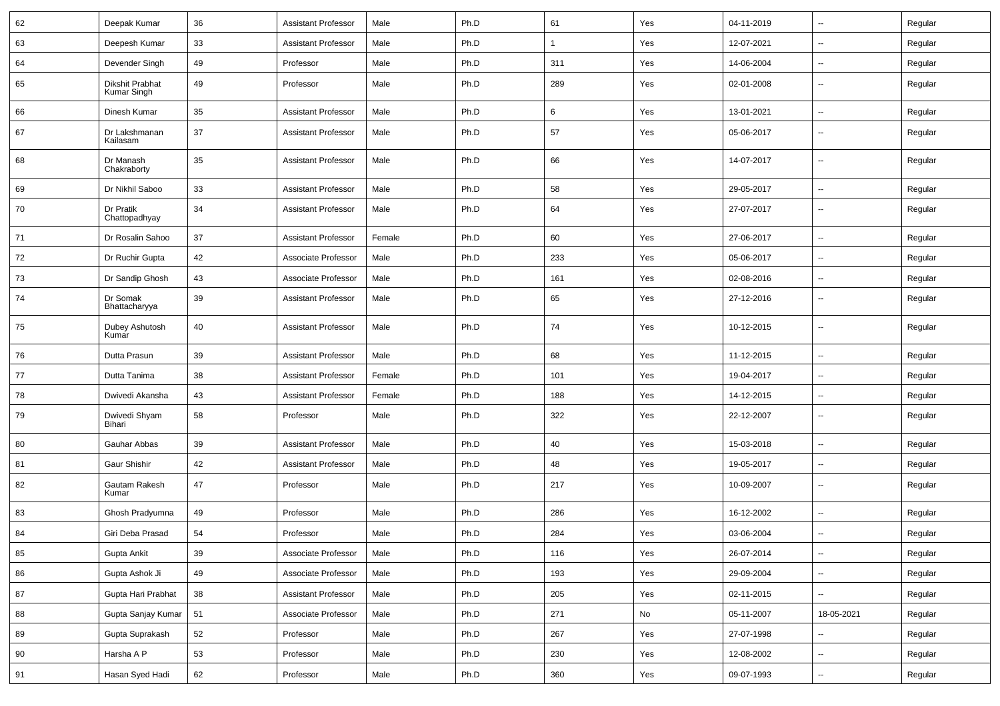| 62 | Deepak Kumar                   | 36     | <b>Assistant Professor</b> | Male   | Ph.D | 61           | Yes | 04-11-2019 | $\sim$                   | Regular |
|----|--------------------------------|--------|----------------------------|--------|------|--------------|-----|------------|--------------------------|---------|
| 63 | Deepesh Kumar                  | 33     | <b>Assistant Professor</b> | Male   | Ph.D | $\mathbf{1}$ | Yes | 12-07-2021 | --                       | Regular |
| 64 | Devender Singh                 | 49     | Professor                  | Male   | Ph.D | 311          | Yes | 14-06-2004 | -−                       | Regular |
| 65 | Dikshit Prabhat<br>Kumar Singh | 49     | Professor                  | Male   | Ph.D | 289          | Yes | 02-01-2008 | $\overline{a}$           | Regular |
| 66 | Dinesh Kumar                   | 35     | <b>Assistant Professor</b> | Male   | Ph.D | 6            | Yes | 13-01-2021 | $\overline{\phantom{a}}$ | Regular |
| 67 | Dr Lakshmanan<br>Kailasam      | 37     | <b>Assistant Professor</b> | Male   | Ph.D | 57           | Yes | 05-06-2017 | --                       | Regular |
| 68 | Dr Manash<br>Chakraborty       | 35     | <b>Assistant Professor</b> | Male   | Ph.D | 66           | Yes | 14-07-2017 | --                       | Regular |
| 69 | Dr Nikhil Saboo                | 33     | <b>Assistant Professor</b> | Male   | Ph.D | 58           | Yes | 29-05-2017 | -−                       | Regular |
| 70 | Dr Pratik<br>Chattopadhyay     | 34     | <b>Assistant Professor</b> | Male   | Ph.D | 64           | Yes | 27-07-2017 | $\overline{\phantom{a}}$ | Regular |
| 71 | Dr Rosalin Sahoo               | 37     | <b>Assistant Professor</b> | Female | Ph.D | 60           | Yes | 27-06-2017 | $\overline{\phantom{a}}$ | Regular |
| 72 | Dr Ruchir Gupta                | 42     | Associate Professor        | Male   | Ph.D | 233          | Yes | 05-06-2017 | ⊷.                       | Regular |
| 73 | Dr Sandip Ghosh                | 43     | Associate Professor        | Male   | Ph.D | 161          | Yes | 02-08-2016 | --                       | Regular |
| 74 | Dr Somak<br>Bhattacharyya      | 39     | <b>Assistant Professor</b> | Male   | Ph.D | 65           | Yes | 27-12-2016 | $\overline{\phantom{a}}$ | Regular |
| 75 | Dubey Ashutosh<br>Kumar        | 40     | <b>Assistant Professor</b> | Male   | Ph.D | 74           | Yes | 10-12-2015 | $\overline{\phantom{a}}$ | Regular |
| 76 | Dutta Prasun                   | 39     | <b>Assistant Professor</b> | Male   | Ph.D | 68           | Yes | 11-12-2015 | $\overline{\phantom{a}}$ | Regular |
| 77 | Dutta Tanima                   | 38     | Assistant Professor        | Female | Ph.D | 101          | Yes | 19-04-2017 | --                       | Regular |
| 78 | Dwivedi Akansha                | 43     | <b>Assistant Professor</b> | Female | Ph.D | 188          | Yes | 14-12-2015 | --                       | Regular |
| 79 | Dwivedi Shyam<br>Bihari        | 58     | Professor                  | Male   | Ph.D | 322          | Yes | 22-12-2007 | $\overline{\phantom{a}}$ | Regular |
| 80 | Gauhar Abbas                   | 39     | <b>Assistant Professor</b> | Male   | Ph.D | 40           | Yes | 15-03-2018 | $\overline{\phantom{a}}$ | Regular |
| 81 | Gaur Shishir                   | 42     | <b>Assistant Professor</b> | Male   | Ph.D | 48           | Yes | 19-05-2017 | --                       | Regular |
| 82 | Gautam Rakesh<br>Kumar         | 47     | Professor                  | Male   | Ph.D | 217          | Yes | 10-09-2007 | --                       | Regular |
| 83 | Ghosh Pradyumna                | 49     | Professor                  | Male   | Ph.D | 286          | Yes | 16-12-2002 | --                       | Regular |
| 84 | Giri Deba Prasad               | 54     | Professor                  | Male   | Ph.D | 284          | Yes | 03-06-2004 | $\overline{a}$           | Regular |
| 85 | Gupta Ankit                    | $39\,$ | Associate Professor        | Male   | Ph.D | 116          | Yes | 26-07-2014 | Ц.                       | Regular |
| 86 | Gupta Ashok Ji                 | 49     | Associate Professor        | Male   | Ph.D | 193          | Yes | 29-09-2004 | $\overline{\phantom{a}}$ | Regular |
| 87 | Gupta Hari Prabhat             | 38     | <b>Assistant Professor</b> | Male   | Ph.D | 205          | Yes | 02-11-2015 | ц.                       | Regular |
| 88 | Gupta Sanjay Kumar             | 51     | Associate Professor        | Male   | Ph.D | 271          | No  | 05-11-2007 | 18-05-2021               | Regular |
| 89 | Gupta Suprakash                | 52     | Professor                  | Male   | Ph.D | 267          | Yes | 27-07-1998 | $\overline{\phantom{a}}$ | Regular |
| 90 | Harsha A P                     | 53     | Professor                  | Male   | Ph.D | 230          | Yes | 12-08-2002 | Щ,                       | Regular |
| 91 | Hasan Syed Hadi                | 62     | Professor                  | Male   | Ph.D | 360          | Yes | 09-07-1993 | $\overline{\phantom{a}}$ | Regular |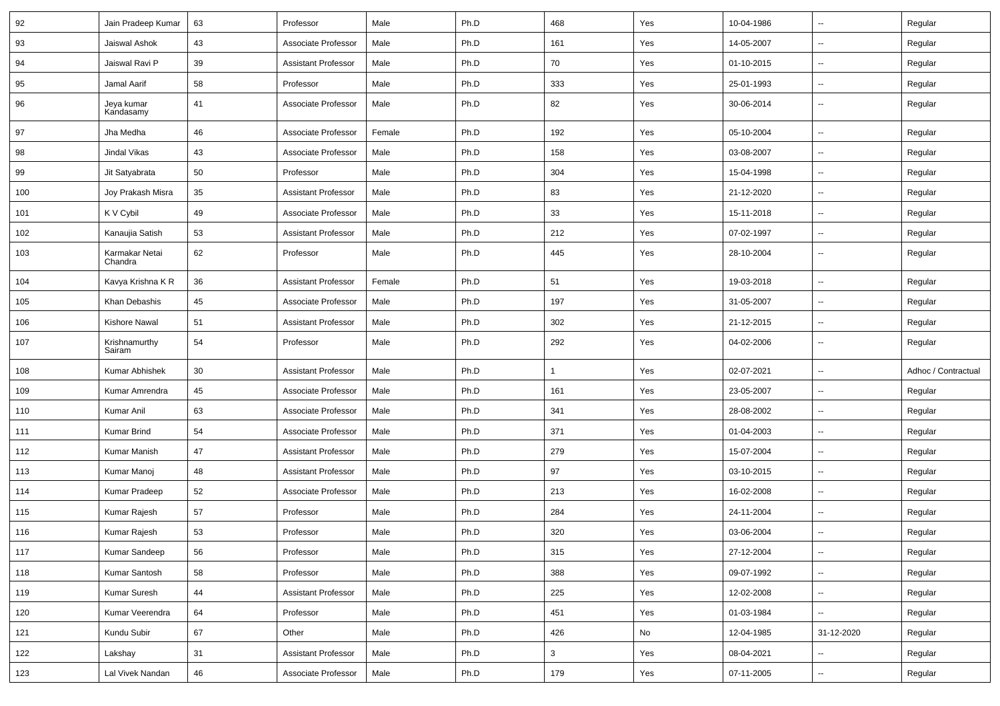| 92  | Jain Pradeep Kumar        | 63 | Professor                  | Male   | Ph.D | 468          | Yes | 10-04-1986 | $\sim$                   | Regular             |
|-----|---------------------------|----|----------------------------|--------|------|--------------|-----|------------|--------------------------|---------------------|
| 93  | Jaiswal Ashok             | 43 | Associate Professor        | Male   | Ph.D | 161          | Yes | 14-05-2007 | -−                       | Regular             |
| 94  | Jaiswal Ravi P            | 39 | <b>Assistant Professor</b> | Male   | Ph.D | 70           | Yes | 01-10-2015 | $\overline{\phantom{a}}$ | Regular             |
| 95  | Jamal Aarif               | 58 | Professor                  | Male   | Ph.D | 333          | Yes | 25-01-1993 | $\overline{\phantom{a}}$ | Regular             |
| 96  | Jeya kumar<br>Kandasamy   | 41 | Associate Professor        | Male   | Ph.D | 82           | Yes | 30-06-2014 | --                       | Regular             |
| 97  | Jha Medha                 | 46 | Associate Professor        | Female | Ph.D | 192          | Yes | 05-10-2004 | -−                       | Regular             |
| 98  | Jindal Vikas              | 43 | Associate Professor        | Male   | Ph.D | 158          | Yes | 03-08-2007 | $\overline{\phantom{a}}$ | Regular             |
| 99  | Jit Satyabrata            | 50 | Professor                  | Male   | Ph.D | 304          | Yes | 15-04-1998 | $\overline{\phantom{a}}$ | Regular             |
| 100 | Joy Prakash Misra         | 35 | <b>Assistant Professor</b> | Male   | Ph.D | 83           | Yes | 21-12-2020 | --                       | Regular             |
| 101 | K V Cybil                 | 49 | Associate Professor        | Male   | Ph.D | 33           | Yes | 15-11-2018 | $\sim$                   | Regular             |
| 102 | Kanaujia Satish           | 53 | <b>Assistant Professor</b> | Male   | Ph.D | 212          | Yes | 07-02-1997 | --                       | Regular             |
| 103 | Karmakar Netai<br>Chandra | 62 | Professor                  | Male   | Ph.D | 445          | Yes | 28-10-2004 | -−                       | Regular             |
| 104 | Kavya Krishna K R         | 36 | Assistant Professor        | Female | Ph.D | 51           | Yes | 19-03-2018 | -−                       | Regular             |
| 105 | Khan Debashis             | 45 | Associate Professor        | Male   | Ph.D | 197          | Yes | 31-05-2007 | $\sim$                   | Regular             |
| 106 | Kishore Nawal             | 51 | <b>Assistant Professor</b> | Male   | Ph.D | 302          | Yes | 21-12-2015 | $\sim$                   | Regular             |
| 107 | Krishnamurthy<br>Sairam   | 54 | Professor                  | Male   | Ph.D | 292          | Yes | 04-02-2006 | $\sim$                   | Regular             |
| 108 | Kumar Abhishek            | 30 | <b>Assistant Professor</b> | Male   | Ph.D | $\mathbf{1}$ | Yes | 02-07-2021 | --                       | Adhoc / Contractual |
| 109 | Kumar Amrendra            | 45 | Associate Professor        | Male   | Ph.D | 161          | Yes | 23-05-2007 | Ξ.                       | Regular             |
| 110 | Kumar Anil                | 63 | Associate Professor        | Male   | Ph.D | 341          | Yes | 28-08-2002 | --                       | Regular             |
| 111 | <b>Kumar Brind</b>        | 54 | Associate Professor        | Male   | Ph.D | 371          | Yes | 01-04-2003 | -−                       | Regular             |
| 112 | <b>Kumar Manish</b>       | 47 | <b>Assistant Professor</b> | Male   | Ph.D | 279          | Yes | 15-07-2004 | $\sim$                   | Regular             |
| 113 | Kumar Manoj               | 48 | <b>Assistant Professor</b> | Male   | Ph.D | 97           | Yes | 03-10-2015 | $\overline{\phantom{a}}$ | Regular             |
| 114 | Kumar Pradeep             | 52 | Associate Professor        | Male   | Ph.D | 213          | Yes | 16-02-2008 | -−                       | Regular             |
| 115 | Kumar Rajesh              | 57 | Professor                  | Male   | Ph.D | 284          | Yes | 24-11-2004 | Ξ.                       | Regular             |
| 116 | Kumar Rajesh              | 53 | Professor                  | Male   | Ph.D | 320          | Yes | 03-06-2004 |                          | Regular             |
| 117 | Kumar Sandeep             | 56 | Professor                  | Male   | Ph.D | 315          | Yes | 27-12-2004 | $\sim$                   | Regular             |
| 118 | Kumar Santosh             | 58 | Professor                  | Male   | Ph.D | 388          | Yes | 09-07-1992 | Щ,                       | Regular             |
| 119 | Kumar Suresh              | 44 | <b>Assistant Professor</b> | Male   | Ph.D | 225          | Yes | 12-02-2008 | $\sim$                   | Regular             |
| 120 | Kumar Veerendra           | 64 | Professor                  | Male   | Ph.D | 451          | Yes | 01-03-1984 | Щ,                       | Regular             |
| 121 | Kundu Subir               | 67 | Other                      | Male   | Ph.D | 426          | No  | 12-04-1985 | 31-12-2020               | Regular             |
| 122 | Lakshay                   | 31 | <b>Assistant Professor</b> | Male   | Ph.D | $\mathbf{3}$ | Yes | 08-04-2021 | --                       | Regular             |
| 123 | Lal Vivek Nandan          | 46 | Associate Professor        | Male   | Ph.D | 179          | Yes | 07-11-2005 | ⊶.                       | Regular             |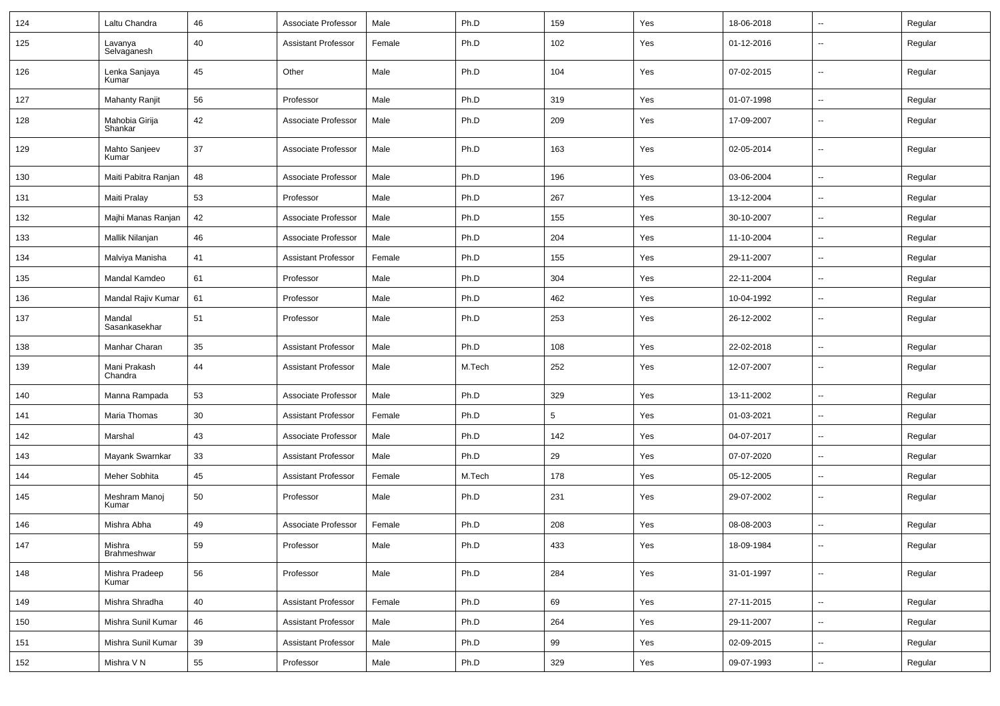| 124 | Laltu Chandra             | 46 | Associate Professor        | Male   | Ph.D   | 159 | Yes | 18-06-2018 | --                       | Regular |
|-----|---------------------------|----|----------------------------|--------|--------|-----|-----|------------|--------------------------|---------|
| 125 | Lavanya<br>Selvaganesh    | 40 | <b>Assistant Professor</b> | Female | Ph.D   | 102 | Yes | 01-12-2016 | $\overline{\phantom{a}}$ | Regular |
| 126 | Lenka Sanjaya<br>Kumar    | 45 | Other                      | Male   | Ph.D   | 104 | Yes | 07-02-2015 | $\overline{\phantom{a}}$ | Regular |
| 127 | <b>Mahanty Ranjit</b>     | 56 | Professor                  | Male   | Ph.D   | 319 | Yes | 01-07-1998 | $\sim$                   | Regular |
| 128 | Mahobia Girija<br>Shankar | 42 | Associate Professor        | Male   | Ph.D   | 209 | Yes | 17-09-2007 | --                       | Regular |
| 129 | Mahto Sanjeev<br>Kumar    | 37 | Associate Professor        | Male   | Ph.D   | 163 | Yes | 02-05-2014 | $\overline{\phantom{a}}$ | Regular |
| 130 | Maiti Pabitra Ranjan      | 48 | Associate Professor        | Male   | Ph.D   | 196 | Yes | 03-06-2004 | $\overline{\phantom{a}}$ | Regular |
| 131 | Maiti Pralay              | 53 | Professor                  | Male   | Ph.D   | 267 | Yes | 13-12-2004 | Ξ.                       | Regular |
| 132 | Majhi Manas Ranjan        | 42 | Associate Professor        | Male   | Ph.D   | 155 | Yes | 30-10-2007 | $\sim$                   | Regular |
| 133 | Mallik Nilanjan           | 46 | Associate Professor        | Male   | Ph.D   | 204 | Yes | 11-10-2004 | ⊷.                       | Regular |
| 134 | Malviya Manisha           | 41 | <b>Assistant Professor</b> | Female | Ph.D   | 155 | Yes | 29-11-2007 | н.                       | Regular |
| 135 | Mandal Kamdeo             | 61 | Professor                  | Male   | Ph.D   | 304 | Yes | 22-11-2004 | ⊷.                       | Regular |
| 136 | Mandal Rajiv Kumar        | 61 | Professor                  | Male   | Ph.D   | 462 | Yes | 10-04-1992 | $\overline{\phantom{a}}$ | Regular |
| 137 | Mandal<br>Sasankasekhar   | 51 | Professor                  | Male   | Ph.D   | 253 | Yes | 26-12-2002 | н.                       | Regular |
| 138 | Manhar Charan             | 35 | <b>Assistant Professor</b> | Male   | Ph.D   | 108 | Yes | 22-02-2018 | -−                       | Regular |
| 139 | Mani Prakash<br>Chandra   | 44 | <b>Assistant Professor</b> | Male   | M.Tech | 252 | Yes | 12-07-2007 | $\sim$                   | Regular |
| 140 | Manna Rampada             | 53 | Associate Professor        | Male   | Ph.D   | 329 | Yes | 13-11-2002 | ⊷.                       | Regular |
| 141 | Maria Thomas              | 30 | <b>Assistant Professor</b> | Female | Ph.D   | 5   | Yes | 01-03-2021 | ⊶.                       | Regular |
| 142 | Marshal                   | 43 | Associate Professor        | Male   | Ph.D   | 142 | Yes | 04-07-2017 | -−                       | Regular |
| 143 | Mayank Swarnkar           | 33 | <b>Assistant Professor</b> | Male   | Ph.D   | 29  | Yes | 07-07-2020 | н.                       | Regular |
| 144 | Meher Sobhita             | 45 | <b>Assistant Professor</b> | Female | M.Tech | 178 | Yes | 05-12-2005 | --                       | Regular |
| 145 | Meshram Manoj<br>Kumar    | 50 | Professor                  | Male   | Ph.D   | 231 | Yes | 29-07-2002 | Ξ.                       | Regular |
| 146 | Mishra Abha               | 49 | Associate Professor        | Female | Ph.D   | 208 | Yes | 08-08-2003 | -−                       | Regular |
| 147 | Mishra<br>Brahmeshwar     | 59 | Professor                  | Male   | Ph.D   | 433 | Yes | 18-09-1984 |                          | Regular |
| 148 | Mishra Pradeep<br>Kumar   | 56 | Professor                  | Male   | Ph.D   | 284 | Yes | 31-01-1997 | ц,                       | Regular |
| 149 | Mishra Shradha            | 40 | <b>Assistant Professor</b> | Female | Ph.D   | 69  | Yes | 27-11-2015 | ц,                       | Regular |
| 150 | Mishra Sunil Kumar        | 46 | <b>Assistant Professor</b> | Male   | Ph.D   | 264 | Yes | 29-11-2007 | Щ,                       | Regular |
| 151 | Mishra Sunil Kumar        | 39 | <b>Assistant Professor</b> | Male   | Ph.D   | 99  | Yes | 02-09-2015 | $\overline{\phantom{a}}$ | Regular |
| 152 | Mishra V N                | 55 | Professor                  | Male   | Ph.D   | 329 | Yes | 09-07-1993 | $\sim$                   | Regular |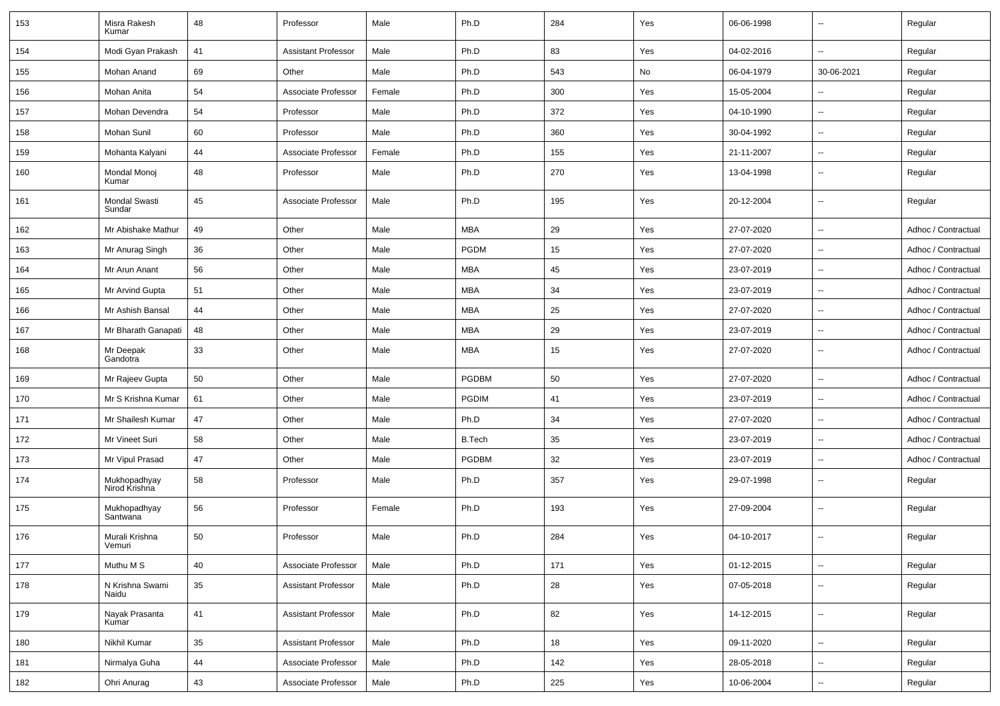| 153 | Misra Rakesh<br>Kumar          | 48 | Professor                  | Male   | Ph.D          | 284 | Yes | 06-06-1998 | $\overline{\phantom{a}}$ | Regular             |
|-----|--------------------------------|----|----------------------------|--------|---------------|-----|-----|------------|--------------------------|---------------------|
| 154 | Modi Gyan Prakash              | 41 | <b>Assistant Professor</b> | Male   | Ph.D          | 83  | Yes | 04-02-2016 | $\overline{\phantom{a}}$ | Regular             |
| 155 | Mohan Anand                    | 69 | Other                      | Male   | Ph.D          | 543 | No  | 06-04-1979 | 30-06-2021               | Regular             |
| 156 | Mohan Anita                    | 54 | Associate Professor        | Female | Ph.D          | 300 | Yes | 15-05-2004 | --                       | Regular             |
| 157 | Mohan Devendra                 | 54 | Professor                  | Male   | Ph.D          | 372 | Yes | 04-10-1990 | --                       | Regular             |
| 158 | <b>Mohan Sunil</b>             | 60 | Professor                  | Male   | Ph.D          | 360 | Yes | 30-04-1992 | --                       | Regular             |
| 159 | Mohanta Kalyani                | 44 | Associate Professor        | Female | Ph.D          | 155 | Yes | 21-11-2007 | $\overline{\phantom{a}}$ | Regular             |
| 160 | Mondal Monoi<br>Kumar          | 48 | Professor                  | Male   | Ph.D          | 270 | Yes | 13-04-1998 | $\overline{\phantom{a}}$ | Regular             |
| 161 | <b>Mondal Swasti</b><br>Sundar | 45 | Associate Professor        | Male   | Ph.D          | 195 | Yes | 20-12-2004 | $\overline{\phantom{a}}$ | Regular             |
| 162 | Mr Abishake Mathur             | 49 | Other                      | Male   | <b>MBA</b>    | 29  | Yes | 27-07-2020 | $\overline{\phantom{a}}$ | Adhoc / Contractual |
| 163 | Mr Anurag Singh                | 36 | Other                      | Male   | <b>PGDM</b>   | 15  | Yes | 27-07-2020 | ⊷.                       | Adhoc / Contractual |
| 164 | Mr Arun Anant                  | 56 | Other                      | Male   | <b>MBA</b>    | 45  | Yes | 23-07-2019 | $\overline{\phantom{a}}$ | Adhoc / Contractual |
| 165 | Mr Arvind Gupta                | 51 | Other                      | Male   | <b>MBA</b>    | 34  | Yes | 23-07-2019 | $\overline{\phantom{a}}$ | Adhoc / Contractual |
| 166 | Mr Ashish Bansal               | 44 | Other                      | Male   | <b>MBA</b>    | 25  | Yes | 27-07-2020 | $\overline{a}$           | Adhoc / Contractual |
| 167 | Mr Bharath Ganapati            | 48 | Other                      | Male   | <b>MBA</b>    | 29  | Yes | 23-07-2019 | $\overline{\phantom{a}}$ | Adhoc / Contractual |
| 168 | Mr Deepak<br>Gandotra          | 33 | Other                      | Male   | <b>MBA</b>    | 15  | Yes | 27-07-2020 | $\overline{\phantom{a}}$ | Adhoc / Contractual |
| 169 | Mr Rajeev Gupta                | 50 | Other                      | Male   | <b>PGDBM</b>  | 50  | Yes | 27-07-2020 | $\overline{\phantom{a}}$ | Adhoc / Contractual |
| 170 | Mr S Krishna Kumar             | 61 | Other                      | Male   | <b>PGDIM</b>  | 41  | Yes | 23-07-2019 | $\overline{\phantom{a}}$ | Adhoc / Contractual |
| 171 | Mr Shailesh Kumar              | 47 | Other                      | Male   | Ph.D          | 34  | Yes | 27-07-2020 | $\overline{a}$           | Adhoc / Contractual |
| 172 | Mr Vineet Suri                 | 58 | Other                      | Male   | <b>B.Tech</b> | 35  | Yes | 23-07-2019 | --                       | Adhoc / Contractual |
| 173 | Mr Vipul Prasad                | 47 | Other                      | Male   | <b>PGDBM</b>  | 32  | Yes | 23-07-2019 | --                       | Adhoc / Contractual |
| 174 | Mukhopadhyay<br>Nirod Krishna  | 58 | Professor                  | Male   | Ph.D          | 357 | Yes | 29-07-1998 | $\overline{\phantom{a}}$ | Regular             |
| 175 | Mukhopadhyay<br>Santwana       | 56 | Professor                  | Female | Ph.D          | 193 | Yes | 27-09-2004 | $\overline{a}$           | Regular             |
| 176 | Murali Krishna<br>vernuri      | 50 | Professor                  | Male   | Ph.D          | 284 | Yes | 04-10-2017 | $\overline{a}$           | Regular             |
| 177 | Muthu M S                      | 40 | Associate Professor        | Male   | Ph.D          | 171 | Yes | 01-12-2015 | Щ,                       | Regular             |
| 178 | N Krishna Swami<br>Naidu       | 35 | <b>Assistant Professor</b> | Male   | Ph.D          | 28  | Yes | 07-05-2018 | $\sim$                   | Regular             |
| 179 | Nayak Prasanta<br>Kumar        | 41 | Assistant Professor        | Male   | Ph.D          | 82  | Yes | 14-12-2015 | $\overline{\phantom{a}}$ | Regular             |
| 180 | Nikhil Kumar                   | 35 | <b>Assistant Professor</b> | Male   | Ph.D          | 18  | Yes | 09-11-2020 | $\sim$                   | Regular             |
| 181 | Nirmalya Guha                  | 44 | Associate Professor        | Male   | Ph.D          | 142 | Yes | 28-05-2018 | $\sim$                   | Regular             |
| 182 | Ohri Anurag                    | 43 | Associate Professor        | Male   | Ph.D          | 225 | Yes | 10-06-2004 | $\sim$                   | Regular             |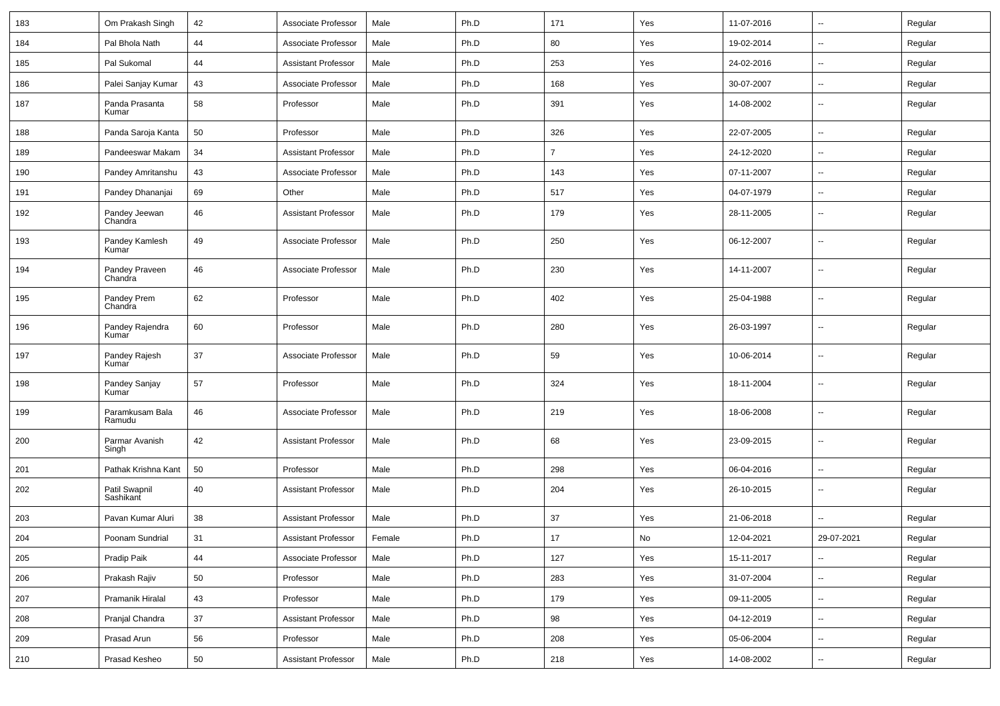| 183 | Om Prakash Singh           | 42 | Associate Professor        | Male   | Ph.D | 171            | Yes | 11-07-2016 | $\overline{\phantom{a}}$ | Regular |
|-----|----------------------------|----|----------------------------|--------|------|----------------|-----|------------|--------------------------|---------|
| 184 | Pal Bhola Nath             | 44 | Associate Professor        | Male   | Ph.D | 80             | Yes | 19-02-2014 | ш.                       | Regular |
| 185 | Pal Sukomal                | 44 | <b>Assistant Professor</b> | Male   | Ph.D | 253            | Yes | 24-02-2016 | $\overline{\phantom{a}}$ | Regular |
| 186 | Palei Sanjay Kumar         | 43 | Associate Professor        | Male   | Ph.D | 168            | Yes | 30-07-2007 | --                       | Regular |
| 187 | Panda Prasanta<br>Kumar    | 58 | Professor                  | Male   | Ph.D | 391            | Yes | 14-08-2002 | $\overline{\phantom{a}}$ | Regular |
| 188 | Panda Saroja Kanta         | 50 | Professor                  | Male   | Ph.D | 326            | Yes | 22-07-2005 | $\mathbf{u}$             | Regular |
| 189 | Pandeeswar Makam           | 34 | <b>Assistant Professor</b> | Male   | Ph.D | $\overline{7}$ | Yes | 24-12-2020 | $\sim$                   | Regular |
| 190 | Pandey Amritanshu          | 43 | Associate Professor        | Male   | Ph.D | 143            | Yes | 07-11-2007 | ⊷.                       | Regular |
| 191 | Pandey Dhananjai           | 69 | Other                      | Male   | Ph.D | 517            | Yes | 04-07-1979 | Ξ.                       | Regular |
| 192 | Pandey Jeewan<br>Chandra   | 46 | <b>Assistant Professor</b> | Male   | Ph.D | 179            | Yes | 28-11-2005 | --                       | Regular |
| 193 | Pandey Kamlesh<br>Kumar    | 49 | Associate Professor        | Male   | Ph.D | 250            | Yes | 06-12-2007 | --                       | Regular |
| 194 | Pandey Praveen<br>Chandra  | 46 | Associate Professor        | Male   | Ph.D | 230            | Yes | 14-11-2007 | $\overline{\phantom{a}}$ | Regular |
| 195 | Pandey Prem<br>Chandra     | 62 | Professor                  | Male   | Ph.D | 402            | Yes | 25-04-1988 | $\overline{\phantom{a}}$ | Regular |
| 196 | Pandey Rajendra<br>Kumar   | 60 | Professor                  | Male   | Ph.D | 280            | Yes | 26-03-1997 | --                       | Regular |
| 197 | Pandey Rajesh<br>Kumar     | 37 | Associate Professor        | Male   | Ph.D | 59             | Yes | 10-06-2014 | $\overline{\phantom{a}}$ | Regular |
| 198 | Pandey Sanjay<br>Kumar     | 57 | Professor                  | Male   | Ph.D | 324            | Yes | 18-11-2004 | --                       | Regular |
| 199 | Paramkusam Bala<br>Ramudu  | 46 | Associate Professor        | Male   | Ph.D | 219            | Yes | 18-06-2008 | --                       | Regular |
| 200 | Parmar Avanish<br>Singh    | 42 | <b>Assistant Professor</b> | Male   | Ph.D | 68             | Yes | 23-09-2015 | --                       | Regular |
| 201 | Pathak Krishna Kant        | 50 | Professor                  | Male   | Ph.D | 298            | Yes | 06-04-2016 | $\overline{\phantom{a}}$ | Regular |
| 202 | Patil Swapnil<br>Sashikant | 40 | <b>Assistant Professor</b> | Male   | Ph.D | 204            | Yes | 26-10-2015 | $\overline{\phantom{a}}$ | Regular |
| 203 | Pavan Kumar Aluri          | 38 | <b>Assistant Professor</b> | Male   | Ph.D | 37             | Yes | 21-06-2018 |                          | Regular |
| 204 | Poonam Sundrial            | 31 | <b>Assistant Professor</b> | Female | Ph.D | 17             | No  | 12-04-2021 | 29-07-2021               | Regular |
| 205 | Pradip Paik                | 44 | Associate Professor        | Male   | Ph.D | 127            | Yes | 15-11-2017 | $\sim$                   | Regular |
| 206 | Prakash Rajiv              | 50 | Professor                  | Male   | Ph.D | 283            | Yes | 31-07-2004 | $\sim$                   | Regular |
| 207 | Pramanik Hiralal           | 43 | Professor                  | Male   | Ph.D | 179            | Yes | 09-11-2005 | $\sim$                   | Regular |
| 208 | Pranjal Chandra            | 37 | Assistant Professor        | Male   | Ph.D | 98             | Yes | 04-12-2019 | $\overline{\phantom{a}}$ | Regular |
| 209 | Prasad Arun                | 56 | Professor                  | Male   | Ph.D | 208            | Yes | 05-06-2004 | Ξ.                       | Regular |
| 210 | Prasad Kesheo              | 50 | Assistant Professor        | Male   | Ph.D | 218            | Yes | 14-08-2002 | $\overline{\phantom{a}}$ | Regular |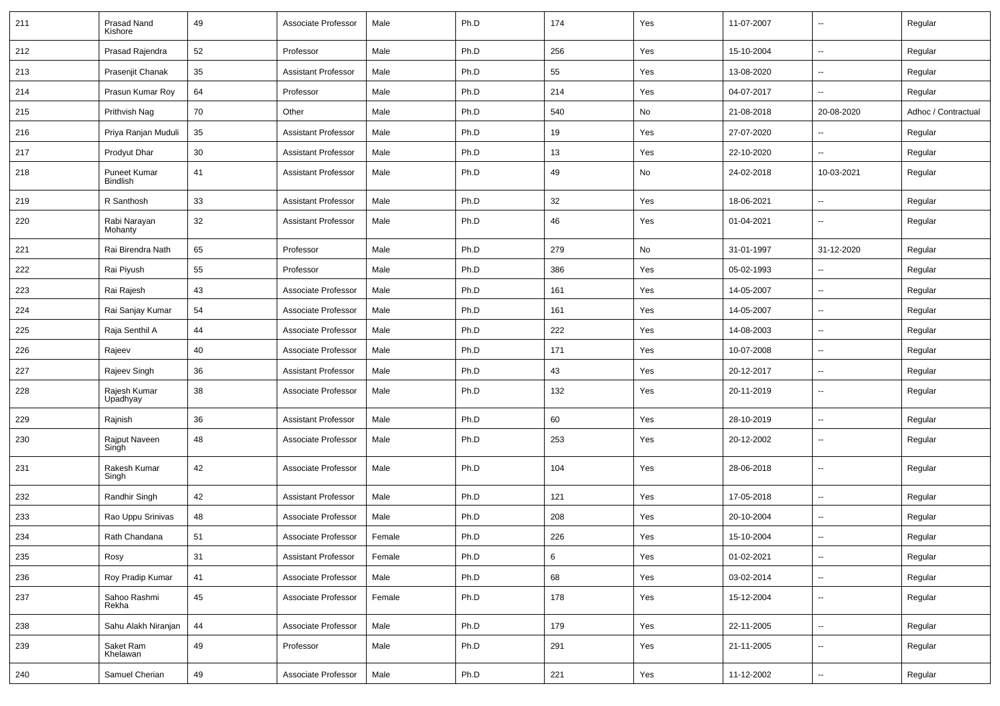| 211 | Prasad Nand<br>Kishore                 | 49         | Associate Professor        | Male   | Ph.D | 174 | Yes | 11-07-2007 | $\overline{\phantom{a}}$ | Regular             |
|-----|----------------------------------------|------------|----------------------------|--------|------|-----|-----|------------|--------------------------|---------------------|
| 212 | Prasad Rajendra                        | 52         | Professor                  | Male   | Ph.D | 256 | Yes | 15-10-2004 | $\overline{\phantom{a}}$ | Regular             |
| 213 | Prasenjit Chanak                       | 35         | <b>Assistant Professor</b> | Male   | Ph.D | 55  | Yes | 13-08-2020 | $\overline{\phantom{a}}$ | Regular             |
| 214 | Prasun Kumar Roy                       | 64         | Professor                  | Male   | Ph.D | 214 | Yes | 04-07-2017 | -−                       | Regular             |
| 215 | Prithvish Nag                          | 70         | Other                      | Male   | Ph.D | 540 | No  | 21-08-2018 | 20-08-2020               | Adhoc / Contractual |
| 216 | Priya Ranjan Muduli                    | 35         | <b>Assistant Professor</b> | Male   | Ph.D | 19  | Yes | 27-07-2020 |                          | Regular             |
| 217 | Prodyut Dhar                           | 30         | <b>Assistant Professor</b> | Male   | Ph.D | 13  | Yes | 22-10-2020 | -−                       | Regular             |
| 218 | <b>Puneet Kumar</b><br><b>Bindlish</b> | 41         | <b>Assistant Professor</b> | Male   | Ph.D | 49  | No  | 24-02-2018 | 10-03-2021               | Regular             |
| 219 | R Santhosh                             | 33         | <b>Assistant Professor</b> | Male   | Ph.D | 32  | Yes | 18-06-2021 | Ξ.                       | Regular             |
| 220 | Rabi Narayan<br>Mohanty                | 32         | <b>Assistant Professor</b> | Male   | Ph.D | 46  | Yes | 01-04-2021 | $\overline{\phantom{a}}$ | Regular             |
| 221 | Rai Birendra Nath                      | 65         | Professor                  | Male   | Ph.D | 279 | No  | 31-01-1997 | 31-12-2020               | Regular             |
| 222 | Rai Piyush                             | 55         | Professor                  | Male   | Ph.D | 386 | Yes | 05-02-1993 | $\overline{\phantom{a}}$ | Regular             |
| 223 | Rai Rajesh                             | 43         | Associate Professor        | Male   | Ph.D | 161 | Yes | 14-05-2007 | $\overline{a}$           | Regular             |
| 224 | Rai Sanjay Kumar                       | 54         | Associate Professor        | Male   | Ph.D | 161 | Yes | 14-05-2007 | --                       | Regular             |
| 225 | Raja Senthil A                         | 44         | Associate Professor        | Male   | Ph.D | 222 | Yes | 14-08-2003 | Ξ.                       | Regular             |
| 226 | Rajeev                                 | 40         | Associate Professor        | Male   | Ph.D | 171 | Yes | 10-07-2008 | ⊷.                       | Regular             |
| 227 | Rajeev Singh                           | 36         | <b>Assistant Professor</b> | Male   | Ph.D | 43  | Yes | 20-12-2017 | -−                       | Regular             |
| 228 | Rajesh Kumar<br>Upadhyay               | 38         | Associate Professor        | Male   | Ph.D | 132 | Yes | 20-11-2019 | $\overline{\phantom{a}}$ | Regular             |
| 229 | Rajnish                                | 36         | <b>Assistant Professor</b> | Male   | Ph.D | 60  | Yes | 28-10-2019 | $\overline{\phantom{a}}$ | Regular             |
| 230 | Rajput Naveen<br>Singh                 | 48         | Associate Professor        | Male   | Ph.D | 253 | Yes | 20-12-2002 | --                       | Regular             |
| 231 | Rakesh Kumar<br>Singh                  | 42         | Associate Professor        | Male   | Ph.D | 104 | Yes | 28-06-2018 | --                       | Regular             |
| 232 | Randhir Singh                          | 42         | <b>Assistant Professor</b> | Male   | Ph.D | 121 | Yes | 17-05-2018 | $\overline{a}$           | Regular             |
| 233 | Rao Uppu Srinivas                      | 48         | Associate Professor        | Male   | Ph.D | 208 | Yes | 20-10-2004 | --                       | Regular             |
| 234 | Rath Chandana                          | 51         | Associate Professor        | Female | Ph.D | 226 | Yes | 15-10-2004 | $\overline{\phantom{a}}$ | Regular             |
| 235 | Rosy                                   | 31         | <b>Assistant Professor</b> | Female | Ph.D | 6   | Yes | 01-02-2021 | $\sim$                   | Regular             |
| 236 | Roy Pradip Kumar                       | 41         | Associate Professor        | Male   | Ph.D | 68  | Yes | 03-02-2014 | н.                       | Regular             |
| 237 | Sahoo Rashmi<br>Rekha                  | 45         | Associate Professor        | Female | Ph.D | 178 | Yes | 15-12-2004 | $\sim$                   | Regular             |
| 238 | Sahu Alakh Niranjan                    | ${\bf 44}$ | Associate Professor        | Male   | Ph.D | 179 | Yes | 22-11-2005 | $\overline{\phantom{a}}$ | Regular             |
| 239 | Saket Ram<br>Khelawan                  | 49         | Professor                  | Male   | Ph.D | 291 | Yes | 21-11-2005 | $\overline{\phantom{a}}$ | Regular             |
| 240 | Samuel Cherian                         | 49         | Associate Professor        | Male   | Ph.D | 221 | Yes | 11-12-2002 | ⊷.                       | Regular             |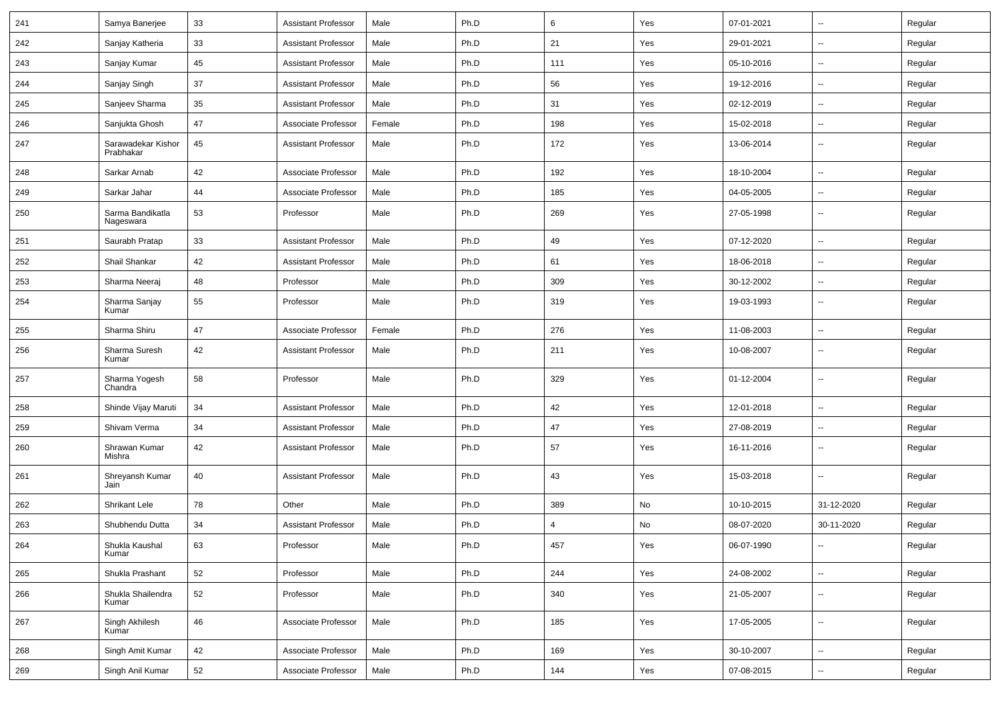| 241 | Samya Banerjee                  | 33 | <b>Assistant Professor</b> | Male   | Ph.D | 6   | Yes | 07-01-2021 | $\mathbf{u}$             | Regular |
|-----|---------------------------------|----|----------------------------|--------|------|-----|-----|------------|--------------------------|---------|
| 242 | Sanjay Katheria                 | 33 | <b>Assistant Professor</b> | Male   | Ph.D | 21  | Yes | 29-01-2021 | $\sim$                   | Regular |
| 243 | Sanjay Kumar                    | 45 | <b>Assistant Professor</b> | Male   | Ph.D | 111 | Yes | 05-10-2016 | $\mathbf{u}$             | Regular |
| 244 | Sanjay Singh                    | 37 | <b>Assistant Professor</b> | Male   | Ph.D | 56  | Yes | 19-12-2016 | $\overline{\phantom{a}}$ | Regular |
| 245 | Sanjeev Sharma                  | 35 | <b>Assistant Professor</b> | Male   | Ph.D | 31  | Yes | 02-12-2019 | $\mathbf{u}$             | Regular |
| 246 | Sanjukta Ghosh                  | 47 | Associate Professor        | Female | Ph.D | 198 | Yes | 15-02-2018 |                          | Regular |
| 247 | Sarawadekar Kishor<br>Prabhakar | 45 | <b>Assistant Professor</b> | Male   | Ph.D | 172 | Yes | 13-06-2014 | $\sim$                   | Regular |
| 248 | Sarkar Arnab                    | 42 | Associate Professor        | Male   | Ph.D | 192 | Yes | 18-10-2004 | $\sim$                   | Regular |
| 249 | Sarkar Jahar                    | 44 | Associate Professor        | Male   | Ph.D | 185 | Yes | 04-05-2005 | $\sim$                   | Regular |
| 250 | Sarma Bandikatla<br>Nageswara   | 53 | Professor                  | Male   | Ph.D | 269 | Yes | 27-05-1998 | $\mathbf{u}$             | Regular |
| 251 | Saurabh Pratap                  | 33 | <b>Assistant Professor</b> | Male   | Ph.D | 49  | Yes | 07-12-2020 | $\sim$                   | Regular |
| 252 | Shail Shankar                   | 42 | <b>Assistant Professor</b> | Male   | Ph.D | 61  | Yes | 18-06-2018 |                          | Regular |
| 253 | Sharma Neeraj                   | 48 | Professor                  | Male   | Ph.D | 309 | Yes | 30-12-2002 | $\mathbf{u}$             | Regular |
| 254 | Sharma Sanjay<br>Kumar          | 55 | Professor                  | Male   | Ph.D | 319 | Yes | 19-03-1993 | $\sim$                   | Regular |
| 255 | Sharma Shiru                    | 47 | Associate Professor        | Female | Ph.D | 276 | Yes | 11-08-2003 | $\sim$                   | Regular |
| 256 | Sharma Suresh<br>Kumar          | 42 | Assistant Professor        | Male   | Ph.D | 211 | Yes | 10-08-2007 | $\mathbf{u}$             | Regular |
| 257 | Sharma Yogesh<br>Chandra        | 58 | Professor                  | Male   | Ph.D | 329 | Yes | 01-12-2004 | $\sim$                   | Regular |
| 258 | Shinde Vijay Maruti             | 34 | <b>Assistant Professor</b> | Male   | Ph.D | 42  | Yes | 12-01-2018 | $\sim$                   | Regular |
| 259 | Shivam Verma                    | 34 | <b>Assistant Professor</b> | Male   | Ph.D | 47  | Yes | 27-08-2019 | $\sim$                   | Regular |
| 260 | Shrawan Kumar<br>Mishra         | 42 | <b>Assistant Professor</b> | Male   | Ph.D | 57  | Yes | 16-11-2016 | $\overline{\phantom{a}}$ | Regular |
| 261 | Shreyansh Kumar<br>Jain         | 40 | <b>Assistant Professor</b> | Male   | Ph.D | 43  | Yes | 15-03-2018 | $\overline{\phantom{a}}$ | Regular |
| 262 | Shrikant Lele                   | 78 | Other                      | Male   | Ph.D | 389 | No  | 10-10-2015 | 31-12-2020               | Regular |
| 263 | Shubhendu Dutta                 | 34 | <b>Assistant Professor</b> | Male   | Ph.D | 4   | No  | 08-07-2020 | 30-11-2020               | Regular |
| 264 | Shukla Kaushal<br>Kumar         | 63 | Professor                  | Male   | Ph.D | 457 | Yes | 06-07-1990 |                          | Regular |
| 265 | Shukla Prashant                 | 52 | Professor                  | Male   | Ph.D | 244 | Yes | 24-08-2002 | $\sim$                   | Regular |
| 266 | Shukla Shailendra<br>Kumar      | 52 | Professor                  | Male   | Ph.D | 340 | Yes | 21-05-2007 | $\sim$                   | Regular |
| 267 | Singh Akhilesh<br>Kumar         | 46 | Associate Professor        | Male   | Ph.D | 185 | Yes | 17-05-2005 | $\overline{\phantom{a}}$ | Regular |
| 268 | Singh Amit Kumar                | 42 | Associate Professor        | Male   | Ph.D | 169 | Yes | 30-10-2007 | ш.                       | Regular |
| 269 | Singh Anil Kumar                | 52 | Associate Professor        | Male   | Ph.D | 144 | Yes | 07-08-2015 | $\overline{\phantom{a}}$ | Regular |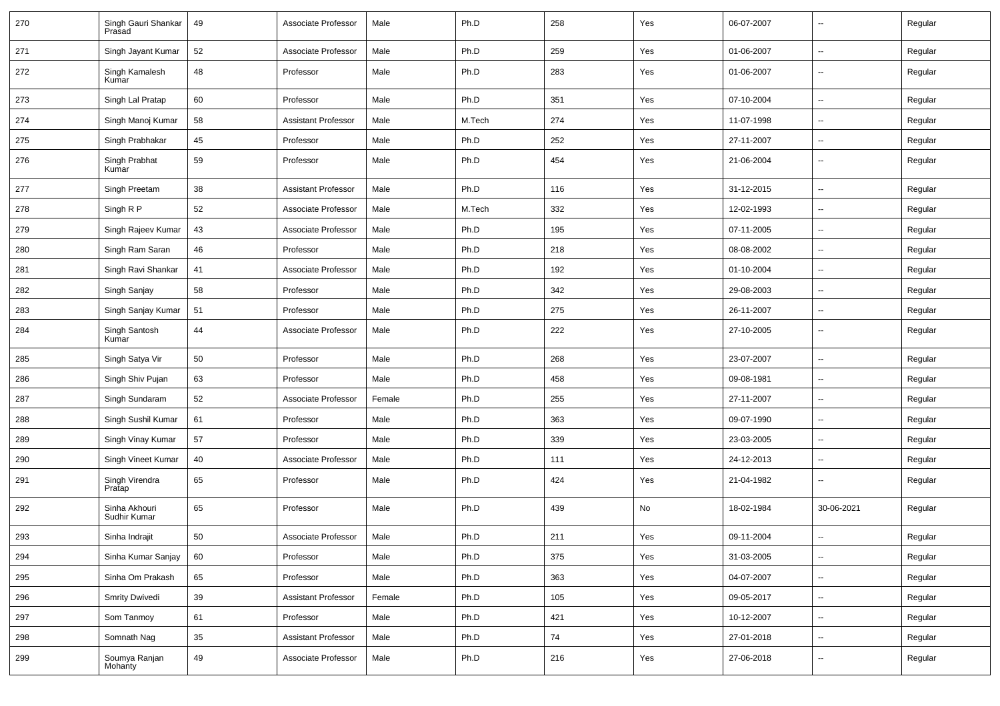| 270 | Singh Gauri Shankar<br>Prasad | 49 | Associate Professor        | Male   | Ph.D   | 258 | Yes | 06-07-2007 | --                       | Regular |
|-----|-------------------------------|----|----------------------------|--------|--------|-----|-----|------------|--------------------------|---------|
| 271 | Singh Jayant Kumar            | 52 | Associate Professor        | Male   | Ph.D   | 259 | Yes | 01-06-2007 | $\sim$                   | Regular |
| 272 | Singh Kamalesh<br>Kumar       | 48 | Professor                  | Male   | Ph.D   | 283 | Yes | 01-06-2007 | $\overline{\phantom{a}}$ | Regular |
| 273 | Singh Lal Pratap              | 60 | Professor                  | Male   | Ph.D   | 351 | Yes | 07-10-2004 | Ξ.                       | Regular |
| 274 | Singh Manoj Kumar             | 58 | <b>Assistant Professor</b> | Male   | M.Tech | 274 | Yes | 11-07-1998 | --                       | Regular |
| 275 | Singh Prabhakar               | 45 | Professor                  | Male   | Ph.D   | 252 | Yes | 27-11-2007 | -−                       | Regular |
| 276 | Singh Prabhat<br>Kumar        | 59 | Professor                  | Male   | Ph.D   | 454 | Yes | 21-06-2004 | $\sim$                   | Regular |
| 277 | Singh Preetam                 | 38 | <b>Assistant Professor</b> | Male   | Ph.D   | 116 | Yes | 31-12-2015 | Ξ.                       | Regular |
| 278 | Singh R P                     | 52 | Associate Professor        | Male   | M.Tech | 332 | Yes | 12-02-1993 | $\sim$                   | Regular |
| 279 | Singh Rajeev Kumar            | 43 | Associate Professor        | Male   | Ph.D   | 195 | Yes | 07-11-2005 | ⊷.                       | Regular |
| 280 | Singh Ram Saran               | 46 | Professor                  | Male   | Ph.D   | 218 | Yes | 08-08-2002 | Ξ.                       | Regular |
| 281 | Singh Ravi Shankar            | 41 | Associate Professor        | Male   | Ph.D   | 192 | Yes | 01-10-2004 | $\overline{a}$           | Regular |
| 282 | Singh Sanjay                  | 58 | Professor                  | Male   | Ph.D   | 342 | Yes | 29-08-2003 | $\overline{a}$           | Regular |
| 283 | Singh Sanjay Kumar            | 51 | Professor                  | Male   | Ph.D   | 275 | Yes | 26-11-2007 | Ξ.                       | Regular |
| 284 | Singh Santosh<br>Kumar        | 44 | Associate Professor        | Male   | Ph.D   | 222 | Yes | 27-10-2005 | $\sim$                   | Regular |
| 285 | Singh Satya Vir               | 50 | Professor                  | Male   | Ph.D   | 268 | Yes | 23-07-2007 | Ξ.                       | Regular |
| 286 | Singh Shiv Pujan              | 63 | Professor                  | Male   | Ph.D   | 458 | Yes | 09-08-1981 | ⊷.                       | Regular |
| 287 | Singh Sundaram                | 52 | Associate Professor        | Female | Ph.D   | 255 | Yes | 27-11-2007 | $\sim$                   | Regular |
| 288 | Singh Sushil Kumar            | 61 | Professor                  | Male   | Ph.D   | 363 | Yes | 09-07-1990 | -−                       | Regular |
| 289 | Singh Vinay Kumar             | 57 | Professor                  | Male   | Ph.D   | 339 | Yes | 23-03-2005 | -−                       | Regular |
| 290 | Singh Vineet Kumar            | 40 | Associate Professor        | Male   | Ph.D   | 111 | Yes | 24-12-2013 | $\mathbf{u}$             | Regular |
| 291 | Singh Virendra<br>Pratap      | 65 | Professor                  | Male   | Ph.D   | 424 | Yes | 21-04-1982 | Ξ.                       | Regular |
| 292 | Sinha Akhouri<br>Sudhir Kumar | 65 | Professor                  | Male   | Ph.D   | 439 | No  | 18-02-1984 | 30-06-2021               | Regular |
| 293 | Sinha Indrajit                | 50 | Associate Professor        | Male   | Ph.D   | 211 | Yes | 09-11-2004 | ш,                       | Regular |
| 294 | Sinha Kumar Sanjay            | 60 | Professor                  | Male   | Ph.D   | 375 | Yes | 31-03-2005 | $\sim$                   | Regular |
| 295 | Sinha Om Prakash              | 65 | Professor                  | Male   | Ph.D   | 363 | Yes | 04-07-2007 | $\sim$                   | Regular |
| 296 | Smrity Dwivedi                | 39 | Assistant Professor        | Female | Ph.D   | 105 | Yes | 09-05-2017 | $\sim$                   | Regular |
| 297 | Som Tanmoy                    | 61 | Professor                  | Male   | Ph.D   | 421 | Yes | 10-12-2007 | -−                       | Regular |
| 298 | Somnath Nag                   | 35 | <b>Assistant Professor</b> | Male   | Ph.D   | 74  | Yes | 27-01-2018 | $\overline{\phantom{a}}$ | Regular |
| 299 | Soumya Ranjan<br>Mohanty      | 49 | Associate Professor        | Male   | Ph.D   | 216 | Yes | 27-06-2018 | $\sim$                   | Regular |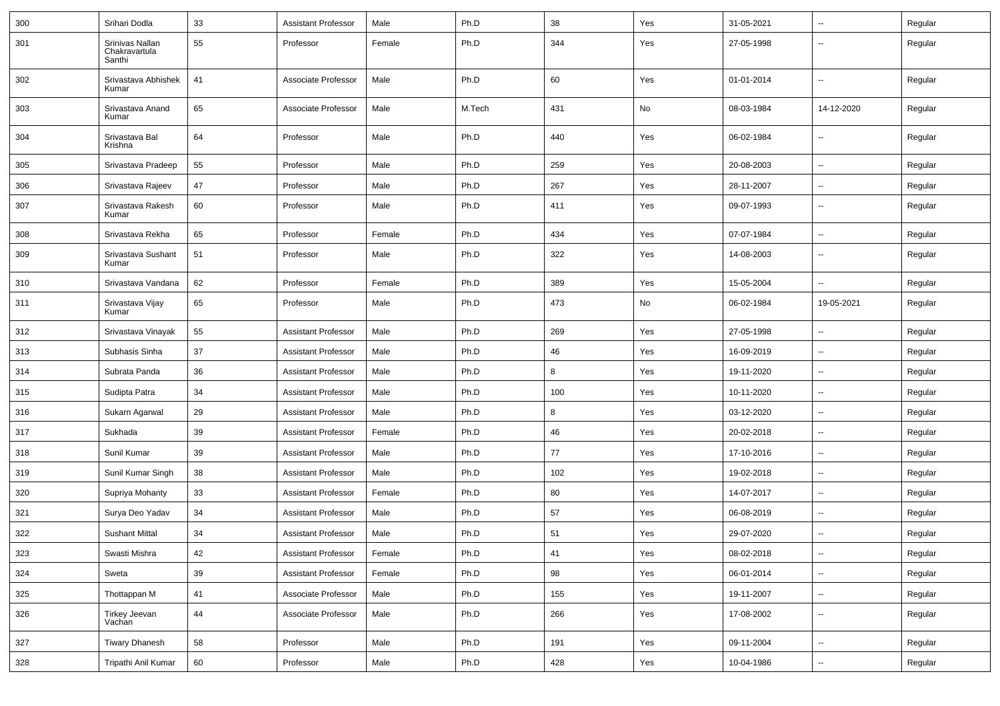| 300 | Srihari Dodla                              | 33 | <b>Assistant Professor</b> | Male   | Ph.D   | 38  | Yes | 31-05-2021 | --                       | Regular |
|-----|--------------------------------------------|----|----------------------------|--------|--------|-----|-----|------------|--------------------------|---------|
| 301 | Srinivas Nallan<br>Chakravartula<br>Santhi | 55 | Professor                  | Female | Ph.D   | 344 | Yes | 27-05-1998 | --                       | Regular |
| 302 | Srivastava Abhishek<br>Kumar               | 41 | Associate Professor        | Male   | Ph.D   | 60  | Yes | 01-01-2014 | $\overline{\phantom{a}}$ | Regular |
| 303 | Srivastava Anand<br>Kumar                  | 65 | Associate Professor        | Male   | M.Tech | 431 | No  | 08-03-1984 | 14-12-2020               | Regular |
| 304 | Srivastava Bal<br>Krishna                  | 64 | Professor                  | Male   | Ph.D   | 440 | Yes | 06-02-1984 | ⊷.                       | Regular |
| 305 | Srivastava Pradeep                         | 55 | Professor                  | Male   | Ph.D   | 259 | Yes | 20-08-2003 | --                       | Regular |
| 306 | Srivastava Rajeev                          | 47 | Professor                  | Male   | Ph.D   | 267 | Yes | 28-11-2007 | --                       | Regular |
| 307 | Srivastava Rakesh<br>Kumar                 | 60 | Professor                  | Male   | Ph.D   | 411 | Yes | 09-07-1993 | -−                       | Regular |
| 308 | Srivastava Rekha                           | 65 | Professor                  | Female | Ph.D   | 434 | Yes | 07-07-1984 | --                       | Regular |
| 309 | Srivastava Sushant<br>Kumar                | 51 | Professor                  | Male   | Ph.D   | 322 | Yes | 14-08-2003 | --                       | Regular |
| 310 | Srivastava Vandana                         | 62 | Professor                  | Female | Ph.D   | 389 | Yes | 15-05-2004 | $\overline{a}$           | Regular |
| 311 | Srivastava Vijay<br>Kumar                  | 65 | Professor                  | Male   | Ph.D   | 473 | No  | 06-02-1984 | 19-05-2021               | Regular |
| 312 | Srivastava Vinayak                         | 55 | <b>Assistant Professor</b> | Male   | Ph.D   | 269 | Yes | 27-05-1998 | Ξ.                       | Regular |
| 313 | Subhasis Sinha                             | 37 | <b>Assistant Professor</b> | Male   | Ph.D   | 46  | Yes | 16-09-2019 | $\sim$                   | Regular |
| 314 | Subrata Panda                              | 36 | Assistant Professor        | Male   | Ph.D   | 8   | Yes | 19-11-2020 | -−                       | Regular |
| 315 | Sudipta Patra                              | 34 | <b>Assistant Professor</b> | Male   | Ph.D   | 100 | Yes | 10-11-2020 | -−                       | Regular |
| 316 | Sukarn Agarwal                             | 29 | <b>Assistant Professor</b> | Male   | Ph.D   | 8   | Yes | 03-12-2020 | --                       | Regular |
| 317 | Sukhada                                    | 39 | <b>Assistant Professor</b> | Female | Ph.D   | 46  | Yes | 20-02-2018 | -−                       | Regular |
| 318 | Sunil Kumar                                | 39 | <b>Assistant Professor</b> | Male   | Ph.D   | 77  | Yes | 17-10-2016 | ⊷.                       | Regular |
| 319 | Sunil Kumar Singh                          | 38 | <b>Assistant Professor</b> | Male   | Ph.D   | 102 | Yes | 19-02-2018 | $\sim$                   | Regular |
| 320 | Supriya Mohanty                            | 33 | <b>Assistant Professor</b> | Female | Ph.D   | 80  | Yes | 14-07-2017 | $\overline{\phantom{a}}$ | Regular |
| 321 | Surya Deo Yadav                            | 34 | <b>Assistant Professor</b> | Male   | Ph.D   | 57  | Yes | 06-08-2019 | --                       | Regular |
| 322 | <b>Sushant Mittal</b>                      | 34 | <b>Assistant Professor</b> | Male   | Ph.D   | 51  | Yes | 29-07-2020 |                          | Regular |
| 323 | Swasti Mishra                              | 42 | Assistant Professor        | Female | Ph.D   | 41  | Yes | 08-02-2018 | $\overline{\phantom{a}}$ | Regular |
| 324 | Sweta                                      | 39 | Assistant Professor        | Female | Ph.D   | 98  | Yes | 06-01-2014 | ц.                       | Regular |
| 325 | Thottappan M                               | 41 | Associate Professor        | Male   | Ph.D   | 155 | Yes | 19-11-2007 | Щ,                       | Regular |
| 326 | Tirkey Jeevan<br>Vachan                    | 44 | Associate Professor        | Male   | Ph.D   | 266 | Yes | 17-08-2002 | Щ,                       | Regular |
| 327 | <b>Tiwary Dhanesh</b>                      | 58 | Professor                  | Male   | Ph.D   | 191 | Yes | 09-11-2004 | Щ,                       | Regular |
| 328 | Tripathi Anil Kumar                        | 60 | Professor                  | Male   | Ph.D   | 428 | Yes | 10-04-1986 | н,                       | Regular |